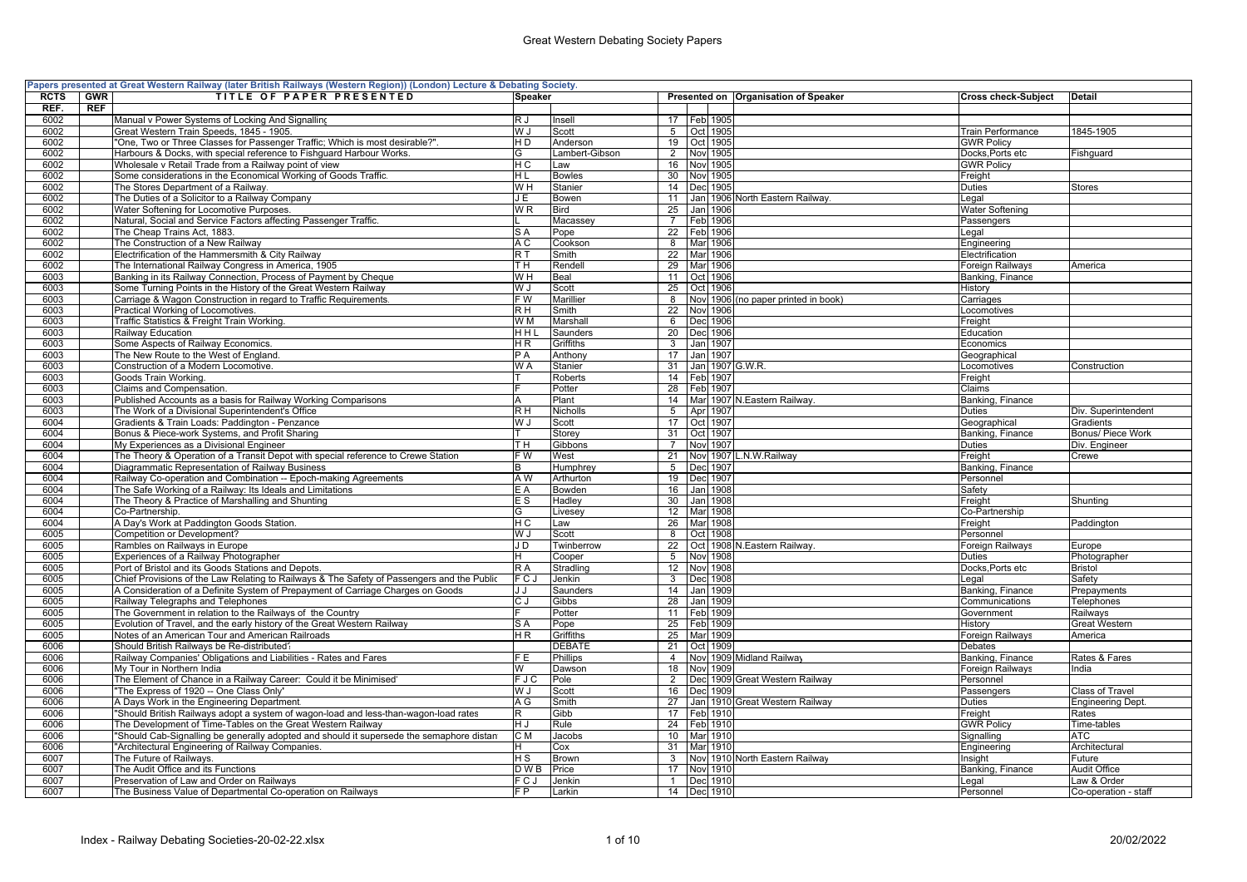|             |            | Papers presented at Great Western Railway (later British Railways (Western Region)) (London) Lecture & Debating Society |         |                           |                 |               |                                      |                            |                          |
|-------------|------------|-------------------------------------------------------------------------------------------------------------------------|---------|---------------------------|-----------------|---------------|--------------------------------------|----------------------------|--------------------------|
| <b>RCTS</b> | <b>GWR</b> | TITLE OF PAPER PRESENTED                                                                                                | Speaker |                           |                 |               | Presented on Organisation of Speaker | <b>Cross check-Subject</b> | <b>Detail</b>            |
| REF.        | REF        |                                                                                                                         |         |                           |                 |               |                                      |                            |                          |
| 6002        |            | Manual v Power Systems of Locking And Signalling                                                                        | R J     | Insell                    |                 | 17 Feb 1905   |                                      |                            |                          |
| 6002        |            | Great Western Train Speeds, 1845 - 1905.                                                                                | W J     | Scott                     | 5 <sup>5</sup>  |               | Oct 1905                             | <b>Train Performance</b>   | 1845-1905                |
| 6002        |            | "One, Two or Three Classes for Passenger Traffic; Which is most desirable?".                                            | H D     | Anderson                  |                 | 19 Oct 1905   |                                      | <b>GWR Policy</b>          |                          |
| 6002        |            | Harbours & Docks, with special reference to Fishquard Harbour Works.                                                    | G       | Lambert-Gibson            | $\overline{2}$  |               | Nov 1905                             | Docks, Ports etc           | Fishguard                |
| 6002        |            | Wholesale v Retail Trade from a Railway point of view                                                                   | НC      | Law                       | 16              |               | Nov 1905                             | <b>GWR Policy</b>          |                          |
| 6002        |            | Some considerations in the Economical Working of Goods Traffic.                                                         | НL      | <b>Bowles</b>             | 30 <sup>2</sup> |               | Nov 1905                             | Freight                    |                          |
| 6002        |            | The Stores Department of a Railway.                                                                                     | W H     | Stanier                   | 14              |               | Dec 1905                             | Duties                     | <b>Stores</b>            |
| 6002        |            | The Duties of a Solicitor to a Railway Company                                                                          | JE      | Bowen                     | 11              |               | Jan 1906 North Eastern Railway       | Legal                      |                          |
|             |            |                                                                                                                         |         |                           |                 |               |                                      |                            |                          |
| 6002        |            | Water Softening for Locomotive Purposes.                                                                                | WR.     | <b>Bird</b>               | 25              |               | Jan 1906                             | Water Softening            |                          |
| 6002        |            | Natural, Social and Service Factors affecting Passenger Traffic.                                                        |         | Macassey                  |                 | 7 Feb 1906    |                                      | Passengers                 |                          |
| 6002        |            | The Cheap Trains Act, 1883.                                                                                             | S A     | Pope                      |                 | 22   Feb 1906 |                                      | Legal                      |                          |
| 6002        |            | The Construction of a New Railway                                                                                       | ΑC      | Cookson                   | $\overline{8}$  |               | Mar 1906                             | Engineering                |                          |
| 6002        |            | Electrification of the Hammersmith & City Railway                                                                       | RT      | Smith                     |                 | 22 Mar 1906   |                                      | Electrification            |                          |
| 6002        |            | The International Railway Congress in America, 1905                                                                     | T H     | Rendell                   |                 | 29 Mar 1906   |                                      | Foreign Railways           | America                  |
| 6003        |            | Banking in its Railway Connection, Process of Payment by Cheque                                                         | W H     | Beal                      |                 | 11 Oct 1906   |                                      | Banking, Finance           |                          |
| 6003        |            | Some Turning Points in the History of the Great Western Railway                                                         | W J     | Scott                     |                 | 25 Oct 1906   |                                      | History                    |                          |
| 6003        |            | Carriage & Wagon Construction in regard to Traffic Requirements.                                                        | F W     | Marillier                 | 8               |               | Nov 1906 (no paper printed in book)  | Carriages                  |                          |
| 6003        |            | Practical Working of Locomotives.                                                                                       | RН      | Smith                     | 22              |               | <b>Nov</b> 1906                      | Locomotives                |                          |
| 6003        |            | Traffic Statistics & Freight Train Working.                                                                             | W M     | Marshall                  | 6               |               | Dec 1906                             | Freight                    |                          |
| 6003        |            | Railway Education.                                                                                                      | HHL     | Saunders                  | 20              |               | Dec 1906                             | Education                  |                          |
| 6003        |            | Some Aspects of Railway Economics.                                                                                      | ΗR      | Griffiths                 | $\overline{3}$  |               | Jan 1907                             | Economics                  |                          |
| 6003        |            | The New Route to the West of England                                                                                    | РA      |                           | 17              |               |                                      |                            |                          |
| 6003        |            | Construction of a Modern Locomotive.                                                                                    | W A     | Anthony<br><b>Stanier</b> | 31              |               | Jan 1907<br><b>Jan 1907 G.W.R.</b>   | Geographical               |                          |
|             |            |                                                                                                                         |         |                           |                 |               |                                      | Locomotives                | Construction             |
| 6003        |            | Goods Train Working.                                                                                                    |         | Roberts                   |                 | 14   Feb 1907 |                                      | Freight                    |                          |
| 6003        |            | Claims and Compensation.                                                                                                |         | Potter                    | 28              |               | Feb 1907                             | Claims                     |                          |
| 6003        |            | Published Accounts as a basis for Railway Working Comparisons                                                           | А       | Plant                     |                 |               | 14 Mar 1907 N. Eastern Railway.      | Banking, Finance           |                          |
| 6003        |            | The Work of a Divisional Superintendent's Office                                                                        | R H     | Nicholls                  | 5               |               | Apr 1907                             | Duties                     | Div. Superintendent      |
| 6004        |            | Gradients & Train Loads: Paddington - Penzance                                                                          | W J     | Scott                     |                 | 17 Oct 1907   |                                      | Geographical               | Gradients                |
| 6004        |            | Bonus & Piece-work Systems, and Profit Sharing                                                                          |         | Storey                    | 31              |               | Oct 1907                             | Banking, Finance           | Bonus/ Piece Work        |
| 6004        |            | My Experiences as a Divisional Engineer                                                                                 | TН      | Gibbons                   | $\overline{7}$  |               | Nov 1907                             | Duties                     | Div. Engineer            |
| 6004        |            | The Theory & Operation of a Transit Depot with special reference to Crewe Station                                       | F W     | West                      | 21              |               | Nov 1907 L.N.W.Railway               | Freight                    | Crewe                    |
| 6004        |            | Diagrammatic Representation of Railway Business                                                                         | R       | Humphrey                  | 5 <sup>5</sup>  |               | Dec 1907                             | Banking, Finance           |                          |
| 6004        |            | Railway Co-operation and Combination -- Epoch-making Agreements                                                         | A W     | Arthurton                 | 19              |               | Dec 1907                             | Personnel                  |                          |
| 6004        |            | The Safe Working of a Railway: Its Ideals and Limitations                                                               | E A     | Bowden                    |                 | 16 Jan 1908   |                                      | Safety                     |                          |
| 6004        |            | The Theory & Practice of Marshalling and Shunting                                                                       | E S     | Hadley                    |                 | 30 Jan 1908   |                                      | Freight                    | Shunting                 |
| 6004        |            | Co-Partnership.                                                                                                         | G       | Livesey                   |                 | 12 Mar 1908   |                                      | Co-Partnership             |                          |
| 6004        |            | A Day's Work at Paddington Goods Station.                                                                               | НC      | Law                       | 26              | Mar 1908      |                                      | Freight                    | Paddington               |
| 6005        |            | Competition or Development?                                                                                             | U W     | Scott                     | 8               |               | Oct 1908                             | Personnel                  |                          |
| 6005        |            |                                                                                                                         | J D     |                           | 22              |               | Oct 1908 N.Eastern Railway.          |                            |                          |
|             |            | Rambles on Railways in Europe                                                                                           |         | Twinberrow                |                 |               |                                      | Foreign Railways           | Europe                   |
| 6005        |            | Experiences of a Railway Photographer                                                                                   |         | Cooper                    | 5 <sup>5</sup>  |               | Nov 1908                             | <b>Duties</b>              | Photographer             |
| 6005        |            | Port of Bristol and its Goods Stations and Depots.                                                                      | R A     | Stradling                 | 12              |               | <b>Nov 1908</b>                      | Docks, Ports etc           | <b>Bristol</b>           |
| 6005        |            | Chief Provisions of the Law Relating to Railways & The Safety of Passengers and the Public                              | FCJ     | Jenkin                    | $\overline{3}$  |               | Dec 1908                             | Legal                      | Safety                   |
| 6005        |            | A Consideration of a Definite System of Prepayment of Carriage Charges on Goods                                         | JJ      | Saunders                  | 14              |               | Jan 1909                             | Banking, Finance           | Prepayments              |
| 6005        |            | Railway Telegraphs and Telephones                                                                                       | C J     | Gibbs                     | 28              |               | Jan 1909                             | Communications             | Telephones               |
| 6005        |            | The Government in relation to the Railways of the Country                                                               |         | Potter                    |                 | 11 Feb 1909   |                                      | Government                 | Railways                 |
| 6005        |            | Evolution of Travel, and the early history of the Great Western Railway                                                 | S A     | Pope                      |                 | 25 Feb 1909   |                                      | History                    | Great Western            |
| 6005        |            | Notes of an American Tour and American Railroads                                                                        | H R     | Griffiths                 |                 | 25 Mar 1909   |                                      | Foreign Railways           | America                  |
| 6006        |            | Should British Railways be Re-distributed':                                                                             |         | <b>DEBATE</b>             |                 | 21 Oct 1909   |                                      | Debates                    |                          |
| 6006        |            | Railway Companies' Obligations and Liabilities - Rates and Fares                                                        | FE.     | <b>Phillips</b>           | $\overline{4}$  | Nov           | 1909 Midland Railway                 | Banking, Finance           | Rates & Fares            |
| 6006        |            | My Tour in Northern India                                                                                               | W       | Dawson                    | 18              |               | Nov 1909                             | Foreign Railways           | India                    |
| 6006        |            | The Element of Chance in a Railway Career: Could it be Minimised'                                                       | FJC     | Pole                      | $\overline{2}$  |               | Decl 1909 Great Western Railway      | Personnel                  |                          |
| 6006        |            | 'The Express of 1920 -- One Class Only'                                                                                 | U W     | Scott                     | 16              |               | Dec 1909                             | Passengers                 | Class of Travel          |
| 6006        |            | A Days Work in the Engineering Department.                                                                              | A G     | Smith                     | 27              |               | Jan 1910 Great Western Railway       | Duties                     | <b>Engineering Dept.</b> |
| 6006        |            | "Should British Railways adopt a system of wagon-load and less-than-wagon-load rates                                    | R       | Gibb                      |                 |               | 17 Feb 1910                          | Freight                    | Rates                    |
|             |            |                                                                                                                         |         |                           |                 |               |                                      |                            |                          |
| 6006        |            | The Development of Time-Tables on the Great Western Railway                                                             | H J     | Rule                      |                 | 24   Feb 1910 |                                      | <b>GWR Policy</b>          | Time-tables              |
| 6006        |            | "Should Cab-Signalling be generally adopted and should it supersede the semaphore distan                                | C M     | Jacobs                    | 10 <sup>1</sup> |               | Mar 1910                             | Signalling                 | ATC                      |
| 6006        |            | "Architectural Engineering of Railway Companies.                                                                        | н       | Cox                       |                 | 31 Marl 1910  |                                      | Engineering                | Architectural            |
| 6007        |            | The Future of Railways.                                                                                                 | ΗS      | Brown                     | 3               |               | Nov 1910 North Eastern Railway       | Insight                    | Future                   |
| 6007        |            | The Audit Office and its Functions                                                                                      | D W B   | Price                     | 17              |               | Nov 1910                             | Banking, Finance           | Audit Office             |
| 6007        |            | Preservation of Law and Order on Railways                                                                               | FCJ     | Jenkin                    | $\mathbf{1}$    |               | Dec 1910                             | Legal                      | Law & Order              |
| 6007        |            | The Business Value of Departmental Co-operation on Railways                                                             | F P     | Larkin                    |                 | 14 Dec 1910   |                                      | Personnel                  | Co-operation - staff     |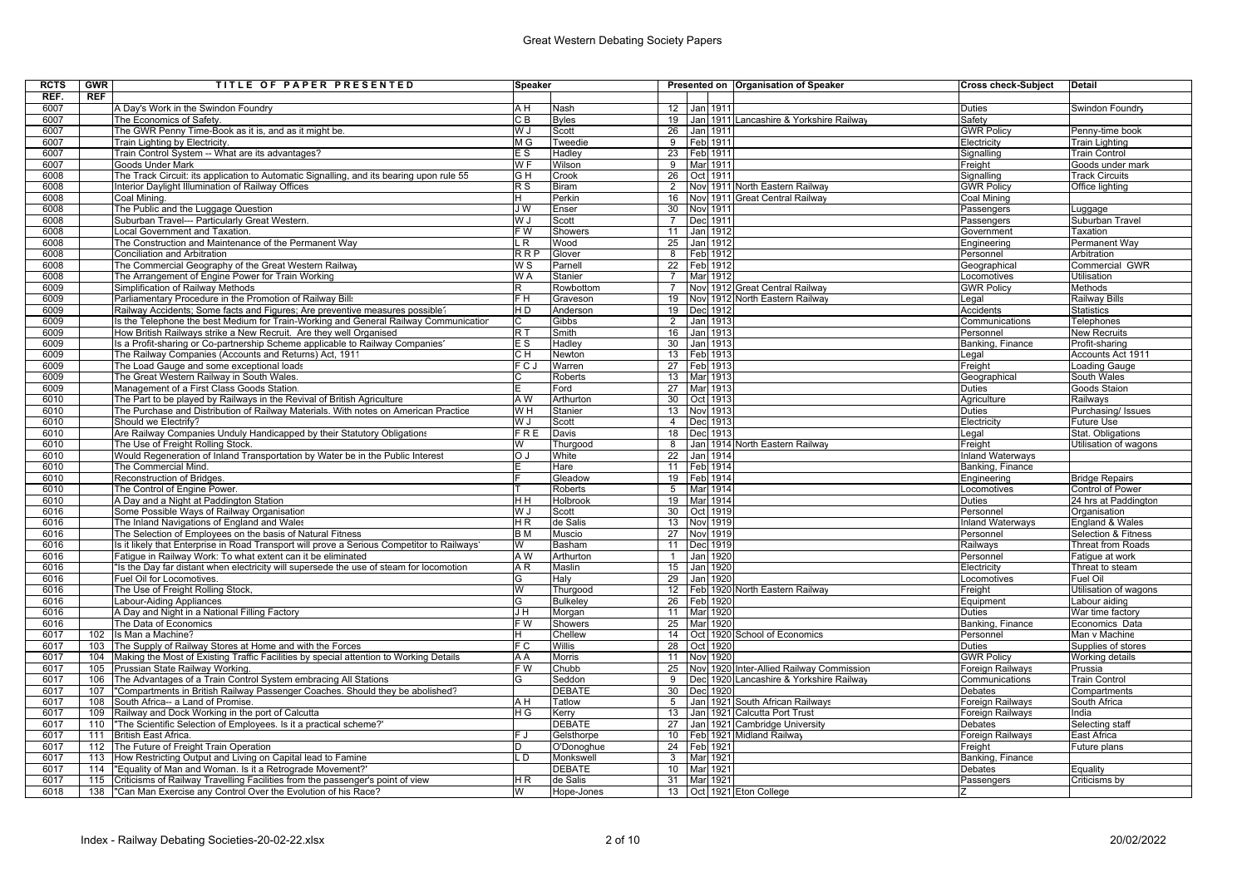| <b>RCTS</b> | GWR        | TITLE OF PAPER PRESENTED                                                                    | Speaker                                      |                 |                 |     |                 | Presented on Organisation of Speaker     | Cross check-Subject     | <b>Detail</b>                  |
|-------------|------------|---------------------------------------------------------------------------------------------|----------------------------------------------|-----------------|-----------------|-----|-----------------|------------------------------------------|-------------------------|--------------------------------|
| REF.        | <b>REF</b> |                                                                                             |                                              |                 |                 |     |                 |                                          |                         |                                |
| 6007        |            | A Dav's Work in the Swindon Foundry                                                         | A H                                          | Nash            |                 |     | 12 Jan 1911     |                                          | Duties                  | Swindon Foundry                |
| 6007        |            | The Economics of Safety.                                                                    | CВ                                           | <b>Byles</b>    | 19              |     |                 | Jan 1911 Lancashire & Yorkshire Railway  | Safety                  |                                |
| 6007        |            | The GWR Penny Time-Book as it is, and as it might be.                                       | U. W                                         | Scott           | 26              |     | Jan 1911        |                                          | <b>GWR Policy</b>       | Penny-time book                |
| 6007        |            | Train Lighting by Electricity.                                                              | M G                                          | Tweedie         |                 |     | 9 Feb 1911      |                                          | Electricity             | <b>Train Lighting</b>          |
| 6007        |            | Train Control System -- What are its advantages?                                            | ΕS                                           | Hadley          |                 |     | 23 Feb 1911     |                                          | Signalling              | <b>Train Control</b>           |
| 6007        |            | Goods Under Mark                                                                            | $\overline{W}$ F                             | Wilson          | $\overline{9}$  |     | Mar 1911        |                                          | Freight                 | Goods under mark               |
| 6008        |            | The Track Circuit: its application to Automatic Signalling, and its bearing upon rule 55    | G H                                          | Crook           |                 |     | 26 Oct 1911     |                                          | Sianallina              | <b>Track Circuits</b>          |
| 6008        |            | Interior Davlight Illumination of Railway Offices                                           | $\overline{R}$ S                             | <b>Biram</b>    | $\overline{2}$  |     |                 | Nov 1911 North Eastern Railway           | <b>GWR Policy</b>       | Office lighting                |
| 6008        |            | Coal Mining.                                                                                | н                                            | Perkin          | 16              |     |                 | Nov 1911 Great Central Railway           | Coal Mining             |                                |
| 6008        |            |                                                                                             | J W                                          | Enser           | 30              |     |                 |                                          |                         |                                |
|             |            | The Public and the Luggage Question                                                         |                                              |                 |                 |     | Nov 1911        |                                          | Passengers              | Luggage                        |
| 6008        |            | Suburban Travel--- Particularly Great Western.                                              | WJ                                           | Scott           | $\overline{7}$  |     | Dec 1911        |                                          | Passengers              | Suburban Travel                |
| 6008        |            | Local Government and Taxation.                                                              | $\overline{F}$ W                             | Showers         | 11              |     | Jan 1912        |                                          | Government              | Taxation                       |
| 6008        |            | The Construction and Maintenance of the Permanent Way                                       | L R                                          | Wood            | 25              |     | Jan 1912        |                                          | Enaineerina             | Permanent Wav                  |
| 6008        |            | Conciliation and Arbitration                                                                | $\overline{R}$ $\overline{R}$ $\overline{P}$ | Glover          | 8               |     | Feb 1912        |                                          | Personnel               | Arbitration                    |
| 6008        |            | The Commercial Geography of the Great Western Railway                                       | W S                                          | Parnell         | 22              |     | Feb 1912        |                                          | Geographical            | Commercial GWR                 |
| 6008        |            | The Arrangement of Engine Power for Train Working                                           | W A                                          | Stanier         | $\overline{7}$  |     | Mar 1912        |                                          | Locomotives             | <b>Utilisation</b>             |
| 6009        |            | Simplification of Railway Methods                                                           |                                              | Rowbottom       | $\overline{7}$  |     |                 | Nov 1912 Great Central Railway           | <b>GWR Policy</b>       | Methods                        |
| 6009        |            | Parliamentary Procedure in the Promotion of Railway Bills                                   | F H                                          | Graveson        | 19              |     |                 | Nov 1912 North Eastern Railway           | Legal                   | <b>Railway Bills</b>           |
| 6009        |            | Railway Accidents: Some facts and Figures: Are preventive measures possible?                | HD                                           | Anderson        |                 |     | 19 Dec 1912     |                                          | Accidents               | <b>Statistics</b>              |
| 6009        |            | Is the Telephone the best Medium for Train-Working and General Railway Communicatior        |                                              | Gibbs           | $\overline{2}$  |     | Jan 1913        |                                          | Communications          | Telephones                     |
| 6009        |            | How British Railways strike a New Recruit. Are they well Organised                          | R T                                          | Smith           | 16              |     | Jan 1913        |                                          | Personnel               | <b>New Recruits</b>            |
| 6009        |            | Is a Profit-sharing or Co-partnership Scheme applicable to Railway Companies'               | E S                                          | Hadley          | 30 <sup>2</sup> |     | Jan 1913        |                                          | Banking, Finance        | Profit-sharing                 |
| 6009        |            | The Railway Companies (Accounts and Returns) Act, 1911                                      | CН                                           | Newton          |                 |     | 13   Feb   1913 |                                          | Legal                   | Accounts Act 1911              |
| 6009        |            | The Load Gauge and some exceptional loads                                                   | FCJ                                          | Warren          | 27              |     | Feb 1913        |                                          | Freight                 | Loading Gauge                  |
| 6009        |            | The Great Western Railway in South Wales.                                                   |                                              | <b>Roberts</b>  |                 |     | 13 Mar 1913     |                                          | Geographical            | South Wales                    |
| 6009        |            |                                                                                             |                                              |                 | 27              |     | Mar 1913        |                                          |                         | Goods Staion                   |
|             |            | Management of a First Class Goods Station.                                                  |                                              | Ford            |                 |     |                 |                                          | Duties                  |                                |
| 6010        |            | The Part to be played by Railways in the Revival of British Agriculture                     | A W                                          | Arthurton       | 30              |     | Oct 1913        |                                          | Agriculture             | Railways                       |
| 6010        |            | The Purchase and Distribution of Railway Materials. With notes on American Practice         | W H                                          | Stanier         | 13              |     | Nov 1913        |                                          | Duties                  | Purchasing/ Issues             |
| 6010        |            | Should we Electrify?                                                                        | W J                                          | Scott           | $\overline{4}$  |     | Dec 1913        |                                          | Electricity             | Future Use                     |
| 6010        |            | Are Railway Companies Unduly Handicapped by their Statutory Obligations                     | FRE                                          | Davis           | 18              |     | Dec 1913        |                                          | Legal                   | Stat. Obligations              |
| 6010        |            | The Use of Freight Rolling Stock.                                                           | W                                            | Thurgood        | 8               |     |                 | Jan 1914 North Eastern Railway           | Freight                 | Utilisation of wagons          |
| 6010        |            | Would Regeneration of Inland Transportation by Water be in the Public Interest              | O J                                          | White           | 22              |     | Jan 1914        |                                          | <b>Inland Waterways</b> |                                |
| 6010        |            | The Commercial Mind.                                                                        |                                              | Hare            |                 |     | 11 Feb 1914     |                                          | Banking, Finance        |                                |
| 6010        |            | Reconstruction of Bridges.                                                                  |                                              | Gleadow         |                 |     | 19 Feb 1914     |                                          | Engineering             | <b>Bridge Repairs</b>          |
| 6010        |            | The Control of Engine Power                                                                 |                                              | <b>Roberts</b>  | 5 <sup>5</sup>  |     | Mar 1914        |                                          | Locomotives             | <b>Control of Power</b>        |
| 6010        |            | A Day and a Night at Paddington Station                                                     | нн                                           | Holbrook        | 19              |     | Mar 1914        |                                          | Duties                  | 24 hrs at Paddington           |
| 6016        |            | Some Possible Wavs of Railway Organisatior                                                  | U.W                                          | Scott           | 30 <sup>2</sup> |     | Oct 1919        |                                          | Personnel               | Organisation                   |
| 6016        |            | The Inland Navigations of England and Wales                                                 | HR.                                          | de Salis        | 13              |     | Nov 1919        |                                          | <b>Inland Waterways</b> | England & Wales                |
| 6016        |            | The Selection of Employees on the basis of Natural Fitness                                  | B <sub>M</sub>                               | Muscio          | 27              |     | Nov 1919        |                                          | Personnel               | <b>Selection &amp; Fitness</b> |
| 6016        |            | Is it likely that Enterprise in Road Transport will prove a Serious Competitor to Railways' | W                                            | Basham          | $\overline{11}$ |     | Dec 1919        |                                          | Railways                | Threat from Roads              |
| 6016        |            | Fatique in Railway Work: To what extent can it be eliminated                                | A W                                          | Arthurton       | $\mathbf{1}$    |     | Jan 1920        |                                          | Personnel               | Fatigue at work                |
| 6016        |            | "Is the Day far distant when electricity will supersede the use of steam for locomotion     | A <sub>R</sub>                               | Maslin          | 15              |     | 1920            |                                          | Electricity             |                                |
| 6016        |            |                                                                                             | G                                            |                 | 29              | Jan |                 |                                          |                         | Threat to steam                |
|             |            | Fuel Oil for Locomotives.                                                                   |                                              | Halv            |                 |     | Jan 1920        |                                          | Locomotives             | <b>Fuel Oil</b>                |
| 6016        |            | The Use of Freight Rolling Stock,                                                           | W                                            | Thurgood        |                 |     |                 | 12   Feb   1920 North Eastern Railway    | Freight                 | Utilisation of wagons          |
| 6016        |            | Labour-Aiding Appliances.                                                                   | G                                            | <b>Bulkeley</b> |                 |     | 26 Feb 1920     |                                          | Equipment               | Labour aiding                  |
| 6016        |            | A Day and Night in a National Filling Factory                                               | JH                                           | Morgan          | 11              |     | Mar 1920        |                                          | Duties                  | War time factory               |
| 6016        |            | The Data of Economics                                                                       | F W                                          | Showers         | 25              |     | Mar 1920        |                                          | Banking, Finance        | Economics Data                 |
| 6017        | 102        | Is Man a Machine?                                                                           |                                              | Chellew         | 14              |     |                 | Oct 1920 School of Economics             | Personnel               | Man v Machine                  |
| 6017        | 103        | The Supply of Railway Stores at Home and with the Forces                                    | FC                                           | Willis          | 28              |     | Oct 1920        |                                          | Duties                  | Supplies of stores             |
| 6017        | 104        | Making the Most of Existing Traffic Facilities by special attention to Working Details      | ΑA                                           | <b>Morris</b>   | 11              |     | Nov 1920        |                                          | <b>GWR Policy</b>       | Working details                |
| 6017        | 105        | Prussian State Railway Working.                                                             | F W                                          | Chubb           | 25              |     |                 | Nov 1920 Inter-Allied Railway Commission | Foreign Railways        | Prussia                        |
| 6017        | 106        | The Advantages of a Train Control System embracing All Stations                             |                                              | Seddon          | 9               |     |                 | Dec 1920 Lancashire & Yorkshire Railway  | Communications          | <b>Train Control</b>           |
| 6017        | 107        | "Compartments in British Railway Passenger Coaches. Should they be abolished?               |                                              | <b>DEBATE</b>   | 30              |     | Dec 1920        |                                          | Debates                 | Compartments                   |
| 6017        | 108        | South Africa-- a Land of Promise.                                                           | A H                                          | Tatlow          | 5               |     |                 | Jan 1921 South African Railways          | Foreign Railways        | South Africa                   |
| 6017        | 109        | Railway and Dock Working in the port of Calcutta                                            | ΗG                                           | Kerry           | 13              |     |                 | Jan 1921 Calcutta Port Trust             | Foreign Railways        | India                          |
| 6017        | 110        | "The Scientific Selection of Employees. Is it a practical scheme?"                          |                                              | <b>DEBATE</b>   | 27              |     |                 | Jan 1921 Cambridge University            | Debates                 | Selecting staff                |
| 6017        | 111        | British East Africa.                                                                        | FJ                                           | Gelsthorpe      | 10 <sup>1</sup> |     |                 | Feb 1921 Midland Railway                 | Foreign Railways        | East Africa                    |
| 6017        |            | 112 The Future of Freight Train Operation                                                   |                                              | O'Donoghue      |                 |     | 24   Feb 1921   |                                          |                         | Future plans                   |
|             |            |                                                                                             |                                              |                 |                 |     |                 |                                          | Freight                 |                                |
| 6017        |            | 113 How Restricting Output and Living on Capital lead to Famine                             | D.                                           | Monkswell       | $\mathbf{3}$    |     | Mar 1921        |                                          | Banking, Finance        |                                |
| 6017        | 114        | "Equality of Man and Woman. Is it a Retrograde Movement?"                                   |                                              | <b>DEBATE</b>   | 10 <sup>°</sup> |     | Mar 1921        |                                          | Debates                 | Equality                       |
| 6017        | 115        | Criticisms of Railway Travelling Facilities from the passenger's point of view              | H <sub>R</sub>                               | de Salis        |                 |     | 31 Marl 1921    |                                          | Passengers              | Criticisms by                  |
| 6018        | 138        | "Can Man Exercise any Control Over the Evolution of his Race?                               | W                                            | Hope-Jones      |                 |     |                 | 13 Oct 1921 Eton College                 |                         |                                |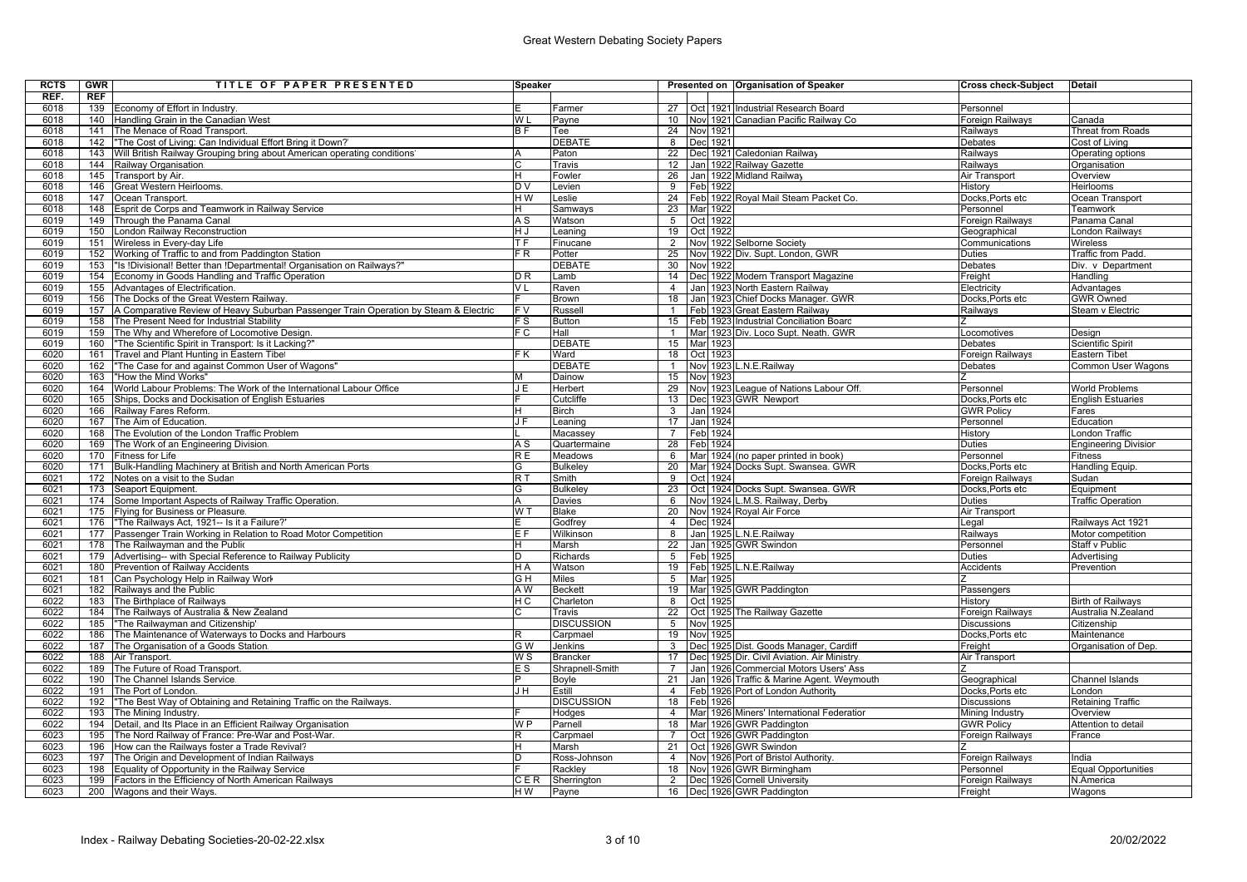| <b>RCTS</b> | <b>GWR</b> | TITLE OF PAPER PRESENTED                                                                 | Speaker          |                   |                 |             | Presented on Organisation of Speaker          | Cross check-Subject | <b>Detail</b>               |
|-------------|------------|------------------------------------------------------------------------------------------|------------------|-------------------|-----------------|-------------|-----------------------------------------------|---------------------|-----------------------------|
| REF.        | REF        |                                                                                          |                  |                   |                 |             |                                               |                     |                             |
| 6018        |            | 139 Economy of Effort in Industry.                                                       |                  | Farmer            | 27              |             | Oct 1921 Industrial Research Board            | Personnel           |                             |
| 6018        |            | 140 Handling Grain in the Canadian West                                                  | W L              | Payne             | 10 <sup>1</sup> |             | Nov 1921 Canadian Pacific Railway Co          | Foreign Railways    | Canada                      |
| 6018        | 141        | The Menace of Road Transport.                                                            | B F              | Tee               | 24              | Nov 1921    |                                               | Railways            | Threat from Roads           |
| 6018        |            | 142  "The Cost of Living: Can Individual Effort Bring it Down?"                          |                  | <b>DEBATE</b>     | 8               | Dec 1921    |                                               | Debates             | Cost of Living              |
| 6018        |            | 143   Will British Railway Grouping bring about American operating conditions'           |                  | Paton             | 22              |             | Dec 1921 Caledonian Railway                   | Railways            | Operating options           |
| 6018        | 144        | Railway Organisation.                                                                    |                  | Travis            | 12              |             | Jan 1922 Railway Gazette                      | Railways            | Organisation                |
| 6018        | 145        | Transport by Air.                                                                        |                  | Fowler            | 26              |             | Jan 1922 Midland Railway                      | Air Transport       | Overview                    |
| 6018        | 146        | Great Western Heirlooms.                                                                 | D V              | Levien            |                 | 9 Feb 1922  |                                               | History             | <b>Heirlooms</b>            |
| 6018        | 147        | Ocean Transport.                                                                         | HW               | Leslie            |                 |             | 24 Feb 1922 Roval Mail Steam Packet Co.       | Docks, Ports etc    | Ocean Transport             |
| 6018        | 148        | Esprit de Corps and Teamwork in Railway Service                                          |                  | Samways           | 23              | Mar 1922    |                                               | Personnel           | Teamwork                    |
| 6019        | 149        | Through the Panama Canal.                                                                | ΑS               | Watson            | 5 <sup>5</sup>  | Oct 1922    |                                               | Foreign Railways    | Panama Canal                |
| 6019        | 150        | London Railway Reconstruction                                                            | ΗJ               | Leaning           | 19              | Oct 1922    |                                               | Geographical        | London Railways             |
| 6019        |            | 151 Wireless in Every-day Life                                                           | T F              | Finucane          | $\overline{2}$  |             | Nov 1922 Selborne Society                     | Communications      | Wireless                    |
| 6019        | 152        | Working of Traffic to and from Paddington Station                                        | FR               | Potter            | 25              |             | Nov 1922 Div. Supt. London, GWR               | Duties              | <b>Traffic from Padd</b>    |
| 6019        | 153        | "Is !Divisional! Better than !Departmental! Organisation on Railways?"                   |                  | <b>DEBATE</b>     | 30              | Nov 1922    |                                               | Debates             | Div. v Department           |
| 6019        |            | 154 Economy in Goods Handling and Traffic Operation                                      | D <sub>R</sub>   | Lamb              | 14              |             | Dec 1922 Modern Transport Magazine            | Freight             | Handling                    |
| 6019        | 155        | Advantages of Electrification.                                                           | V L              | Raven             | $\overline{4}$  |             | Jan 1923 North Eastern Railway                | Electricity         | Advantages                  |
| 6019        | 156        | The Docks of the Great Western Railway.                                                  |                  | <b>Brown</b>      | 18              |             | Jan 1923 Chief Docks Manager. GWR             | Docks, Ports etc    | <b>GWR Owned</b>            |
| 6019        |            | 157 A Comparative Review of Heavy Suburban Passenger Train Operation by Steam & Electric | F V              | Russell           | $\mathbf{1}$    |             | Feb 1923 Great Eastern Railway                | Railways            | Steam v Electric            |
| 6019        | 158        | The Present Need for Industrial Stability                                                | F S              | <b>Button</b>     |                 |             | 15   Feb   1923 Industrial Conciliation Board |                     |                             |
| 6019        | 159        | The Why and Wherefore of Locomotive Design.                                              | F C              | Hall              | $\mathbf{1}$    |             | Mar 1923 Div. Loco Supt. Neath. GWR           | Locomotives         | Design                      |
| 6019        | 160        | "The Scientific Spirit in Transport: Is it Lacking?"                                     |                  | <b>DEBATE</b>     |                 | 15 Mar 1923 |                                               | Debates             | <b>Scientific Spirit</b>    |
| 6020        | 161        | Travel and Plant Hunting in Eastern Tibet                                                | F K              | Ward              |                 | 18 Oct 1923 |                                               | Foreign Railways    | <b>Eastern Tibet</b>        |
| 6020        | 162        | "The Case for and against Common User of Wagons"                                         |                  | <b>DEBATE</b>     | $\mathbf{1}$    |             | Nov 1923 L.N.E.Railway                        | Debates             | Common User Wagons          |
| 6020        | 163        | "How the Mind Works"                                                                     |                  | Dainow            | 15              | Nov 1923    |                                               |                     |                             |
| 6020        | 164        | World Labour Problems: The Work of the International Labour Office                       | JE               | Herbert           | 29              |             | Nov 1923 League of Nations Labour Off.        | Personnel           | <b>World Problems</b>       |
| 6020        | 165        | Ships, Docks and Dockisation of English Estuaries                                        |                  | Cutcliffe         | 13              |             | Dec 1923 GWR Newport                          | Docks, Ports etc    | <b>English Estuaries</b>    |
| 6020        | 166        | Railway Fares Reform.                                                                    |                  | <b>Birch</b>      | 3 <sup>1</sup>  | Jan 1924    |                                               | <b>GWR Policy</b>   | Fares                       |
| 6020        | 167        | The Aim of Education.                                                                    | J F              | Leaning           | 17              | Jan 1924    |                                               | Personnel           | Education                   |
| 6020        | 168        | The Evolution of the London Traffic Problem                                              |                  | Macassey          | $7^{\circ}$     | Feb 1924    |                                               | History             | ondon Traffic               |
| 6020        | 169        | The Work of an Engineering Division.                                                     | ΑS               | Quartermaine      | 28              | Feb 1924    |                                               | Duties              | <b>Engineering Division</b> |
| 6020        | 170        | Fitness for Life                                                                         | R E              | Meadows           | 6               |             | Mar 1924 (no paper printed in book)           | Personnel           | <b>Fitness</b>              |
| 6020        | 171        | Bulk-Handling Machinery at British and North American Ports                              | G                | Bulkeley          | 20              |             | Mar 1924 Docks Supt. Swansea. GWR             | Docks, Ports etc    | Handling Equip.             |
| 6021        |            | 172 Notes on a visit to the Sudan                                                        | $\overline{R}$ T | Smith             | 9               | Oct 1924    |                                               | Foreign Railways    | Sudan                       |
| 6021        | 173        | Seaport Equipment.                                                                       | G                | Bulkeley          | 23              |             | Oct 1924 Docks Supt. Swansea. GWR             | Docks,Ports etc     | Equipment                   |
| 6021        | 174        | Some Important Aspects of Railway Traffic Operation.                                     |                  | <b>Davies</b>     | 6               |             | Nov 1924 L.M.S. Railway, Derby                | <b>Duties</b>       | <b>Traffic Operation</b>    |
| 6021        |            | 175 Flying for Business or Pleasure.                                                     | WT               | Blake             | 20              |             | Nov 1924 Royal Air Force                      | Air Transport       |                             |
| 6021        | 176        | "The Railways Act, 1921-- Is it a Failure?"                                              |                  | Godfrev           | $\overline{4}$  | Dec 1924    |                                               | Legal               | Railways Act 1921           |
| 6021        |            | 177 Passenger Train Working in Relation to Road Motor Competition                        | E F              | Wilkinson         | 8               |             | Jan 1925 L.N.E.Railway                        | Railways            | Motor competition           |
| 6021        |            | 178 The Railwayman and the Public                                                        |                  | Marsh             | $\overline{22}$ |             | Jan 1925 GWR Swindon                          | Personnel           | Staff v Public              |
| 6021        | 179        | Advertising-- with Special Reference to Railway Publicity                                | D                | Richards          |                 | 5 Feb 1925  |                                               | Duties              | Advertising                 |
| 6021        | 180        | Prevention of Railway Accidents                                                          | H A              | Watson            | 19              |             | Feb 1925 L.N.E.Railway                        | Accidents           | Prevention                  |
| 6021        | 181        | Can Psychology Help in Railway Work                                                      | GΗ               | <b>Miles</b>      | 5 <sup>5</sup>  | Mar 1925    |                                               |                     |                             |
| 6021        | 182        | Railways and the Public                                                                  | A W              | <b>Beckett</b>    | 19              |             | Mar 1925 GWR Paddington                       | Passengers          |                             |
| 6022        |            | 183 The Birthplace of Railways                                                           | НC               | Charleton         | $\overline{8}$  | Oct 1925    |                                               | History             | <b>Birth of Railways</b>    |
| 6022        | 184        | The Railways of Australia & New Zealand                                                  |                  | Travis            | 22              |             | Oct 1925 The Railway Gazette                  | Foreign Railways    | Australia N.Zealand         |
| 6022        |            | 185 "The Railwayman and Citizenship"                                                     |                  | <b>DISCUSSION</b> | 5               | Nov 1925    |                                               | <b>Discussions</b>  | Citizenship                 |
| 6022        | 186        | The Maintenance of Waterways to Docks and Harbours                                       |                  | Carpmael          | 19              | Nov 1925    |                                               | Docks, Ports etc    | Maintenance                 |
| 6022        | 187        | The Organisation of a Goods Station.                                                     | G W              | <b>Jenkins</b>    | 3 <sup>1</sup>  |             | Dec 1925 Dist. Goods Manager, Cardiff         | Freight             | Organisation of Dep.        |
| 6022        | 188        | Air Transport.                                                                           | W S              | <b>Brancker</b>   | 17              |             | Dec 1925 Dir. Civil Aviation. Air Ministry.   | Air Transport       |                             |
| 6022        | 189        | The Future of Road Transport.                                                            | E S              | Shrapnell-Smith   | $\overline{7}$  |             | Jan 1926 Commercial Motors Users' Ass         |                     |                             |
| 6022        | 190        | The Channel Islands Service.                                                             |                  | Boyle             | 21              |             | Jan 1926 Traffic & Marine Agent. Weymouth     | Geographical        | Channel Islands             |
| 6022        | 191        | The Port of London.                                                                      | J H              | Estill            | $\overline{4}$  |             | Feb 1926 Port of London Authority             | Docks, Ports etc    | London                      |
| 6022        | 192        | "The Best Way of Obtaining and Retaining Traffic on the Railways.                        |                  | <b>DISCUSSION</b> |                 | 18 Feb 1926 |                                               | <b>Discussions</b>  | Retaining Traffic           |
| 6022        | 193        | The Mining Industry.                                                                     |                  | Hodges            | $\overline{4}$  |             | Mar 1926 Miners' International Federatior     | Mining Industry     | Overview                    |
| 6022        |            | 194 Detail, and Its Place in an Efficient Railway Organisation                           | W P              | Parnell           | 18              |             | Mar 1926 GWR Paddington                       | <b>GWR Policy</b>   | Attention to detail         |
| 6023        |            | 195 The Nord Railway of France: Pre-War and Post-War.                                    |                  | Carpmael          | $7^{\circ}$     |             | Oct 1926 GWR Paddington                       | Foreign Railways    | France                      |
| 6023        | 196        | How can the Railways foster a Trade Revival?                                             |                  | Marsh             | 21              |             | Oct 1926 GWR Swindon                          |                     |                             |
| 6023        | 197        | The Origin and Development of Indian Railways                                            |                  | Ross-Johnson      | $\overline{4}$  |             | Nov 1926 Port of Bristol Authority.           | Foreign Railways    | India                       |
| 6023        | 198        | Equality of Opportunity in the Railway Service                                           |                  | Rackley           | 18              |             | Novl 1926 GWR Birmingham                      | Personnel           | <b>Equal Opportunities</b>  |
| 6023        |            | 199 Factors in the Efficiency of North American Railways                                 | CER              | Sherrington       |                 |             | 2  Dec 1926 Cornell University                | Foreign Railways    | N.America                   |
| 6023        |            | 200 Wagons and their Ways.                                                               | H W              | Payne             |                 |             | 16  Dec 1926 GWR Paddington                   | Freight             | Wagons                      |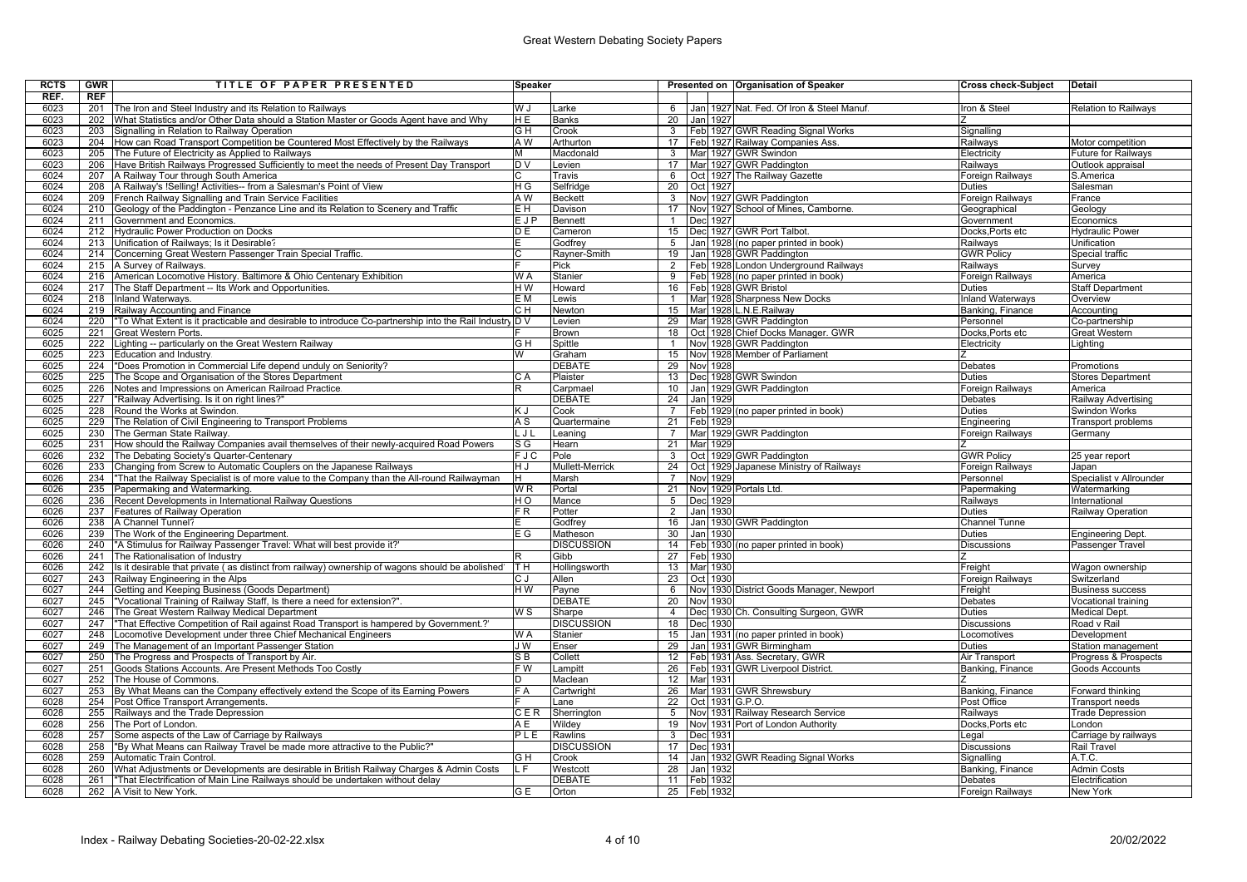| <b>RCTS</b> | <b>GWR</b> | TITLE OF PAPER PRESENTED                                                                           | Speaker          |                   |                 |                 | Presented on Organisation of Speaker       | <b>Cross check-Subject</b> | Detail                              |
|-------------|------------|----------------------------------------------------------------------------------------------------|------------------|-------------------|-----------------|-----------------|--------------------------------------------|----------------------------|-------------------------------------|
| REF.        | <b>REF</b> |                                                                                                    |                  |                   |                 |                 |                                            |                            |                                     |
| 6023        |            | 201 The Iron and Steel Industry and its Relation to Railways                                       | W J              | Larke             | 6               |                 | Jan 1927 Nat. Fed. Of Iron & Steel Manuf.  | Iron & Steel               | <b>Relation to Railways</b>         |
| 6023        | 202        | What Statistics and/or Other Data should a Station Master or Goods Agent have and Why              | H E              | <b>Banks</b>      | 20              | Jan 1927        |                                            |                            |                                     |
| 6023        | 203        | Signalling in Relation to Railway Operation                                                        | G H              | Crook             |                 |                 | 3 Feb 1927 GWR Reading Signal Works        | Signalling                 |                                     |
| 6023        | 204        | How can Road Transport Competition be Countered Most Effectively by the Railways                   | A W              | Arthurton         |                 |                 | 17   Feb 1927 Railway Companies Ass.       | Railways                   | Motor competition                   |
| 6023        | 205        | The Future of Electricity as Applied to Railways                                                   | м                | Macdonald         | 3               |                 | Mar 1927 GWR Swindon                       | Electricity                | <b>Future for Railways</b>          |
| 6023        | 206        | Have British Railways Progressed Sufficiently to meet the needs of Present Day Transport           | D V              | evien_            | 17              |                 | Mar 1927 GWR Paddington                    | Railways                   | Outlook appraisal                   |
| 6024        | 207        | A Railway Tour through South America                                                               |                  | Travis            | 6               |                 | Oct 1927 The Railway Gazette               | Foreign Railways           | S.America                           |
| 6024        | 208        | A Railway's !Selling! Activities-- from a Salesman's Point of View                                 | H G              | Selfridge         | 20              | Oct 1927        |                                            | <b>Duties</b>              | Salesman                            |
| 6024        | 209        | French Railway Signalling and Train Service Facilities                                             | A W              | <b>Beckett</b>    | 3               |                 | Nov 1927 GWR Paddington                    |                            | France                              |
| 6024        | 210        |                                                                                                    | E H              |                   | 17              |                 |                                            | Foreign Railways           |                                     |
|             |            | Geology of the Paddington - Penzance Line and its Relation to Scenery and Traffic                  |                  | Davison           |                 |                 | Nov 1927 School of Mines, Camborne.        | Geographical               | Geology                             |
| 6024        | 211        | Government and Economics.                                                                          | EJP              | <b>Bennett</b>    | $\mathbf{1}$    | Dec 1927        |                                            | Government                 | Economics                           |
| 6024        | 212        | <b>Hydraulic Power Production on Docks</b>                                                         | DE               | Cameron           | 15              |                 | Dec 1927 GWR Port Talbot.                  | Docks, Ports etc           | <b>Hydraulic Power</b>              |
| 6024        | 213        | Unification of Railways; Is it Desirable?                                                          |                  | Godfrey           | 5 <sup>5</sup>  |                 | Jan 1928 (no paper printed in book)        | Railways                   | Unification                         |
| 6024        | 214        | Concerning Great Western Passenger Train Special Traffic                                           |                  | Ravner-Smith      | 19              |                 | Jan 1928 GWR Paddington                    | <b>GWR Policy</b>          | Special traffic                     |
| 6024        |            | 215 A Survey of Railways.                                                                          |                  | Pick              | $\overline{2}$  |                 | Feb 1928 London Underground Railways       | Railways                   | Survey                              |
| 6024        |            | 216 American Locomotive History. Baltimore & Ohio Centenary Exhibition                             | W A              | Stanier           | 9               |                 | Feb 1928 (no paper printed in book)        | Foreign Railways           | America                             |
| 6024        | 217        | The Staff Department -- Its Work and Opportunities.                                                | H W              | Howard            | 16              |                 | Feb 1928 GWR Bristol                       | <b>Duties</b>              | <b>Staff Department</b>             |
| 6024        | 218        | Inland Waterways.                                                                                  | E M              | ewis.             |                 |                 | Mar 1928 Sharpness New Docks               | <b>Inland Waterways</b>    | Overview                            |
| 6024        | 219        | Railway Accounting and Finance                                                                     | CН               | Newton            |                 |                 | 15 Mar 1928 L.N.E.Railway                  | Banking, Finance           | Accounting                          |
| 6024        | 220        | "To What Extent is it practicable and desirable to introduce Co-partnership into the Rail Industry | ID V             | Levien            | 29              |                 | Mar 1928 GWR Paddington                    | Personnel                  | Co-partnership                      |
| 6025        | 221        | Great Western Ports.                                                                               |                  | <b>Brown</b>      | 18              |                 | Oct 1928 Chief Docks Manager. GWR          | Docks, Ports etc           | <b>Great Western</b>                |
| 6025        | 222        | Lighting -- particularly on the Great Western Railway                                              | G H              | Spittle           | $\mathbf{1}$    |                 | Nov 1928 GWR Paddington                    | Electricity                | Lighting                            |
| 6025        | 223        | Education and Industry                                                                             | W                | Graham            | 15              |                 | Nov 1928 Member of Parliament              |                            |                                     |
| 6025        | 224        | "Does Promotion in Commercial Life depend unduly on Seniority?                                     |                  | <b>DEBATE</b>     | 29              | Nov 1928        |                                            | <b>Debates</b>             | Promotions                          |
| 6025        | 225        | The Scope and Organisation of the Stores Department                                                | CА               | Plaister          |                 |                 | 13   Dec 1928 GWR Swindon                  | <b>Duties</b>              | <b>Stores Department</b>            |
| 6025        | 226        | Notes and Impressions on American Railroad Practice.                                               | R                | Carpmael          | 10 <sup>1</sup> |                 | Jan 1929 GWR Paddington                    | <b>Foreign Railways</b>    | America                             |
| 6025        | 227        | "Railway Advertising. Is it on right lines?"                                                       |                  | <b>DEBATE</b>     | 24              | Jan 1929        |                                            | Debates                    | Railway Advertising                 |
| 6025        | 228        | Round the Works at Swindon.                                                                        | ΚJ               | Cook              | $\overline{7}$  |                 | Feb 1929 (no paper printed in book)        | <b>Duties</b>              | Swindon Works                       |
| 6025        | 229        | The Relation of Civil Engineering to Transport Problems                                            | ΑS               | Quartermaine      | 21              | Feb 1929        |                                            | Engineering                | <b>Transport problems</b>           |
| 6025        | 230        | The German State Railway                                                                           | LJL              | Leaning           | $\overline{7}$  |                 | Mar 1929 GWR Paddington                    | Foreign Railways           | Germany                             |
| 6025        | 231        | How should the Railway Companies avail themselves of their newly-acquired Road Powers              | S G              |                   |                 | 21 Mar 1929     |                                            |                            |                                     |
| 6026        | 232        | The Debating Society's Quarter-Centenary                                                           | F J C            | Hearn<br>Pole     | $\mathbf{3}$    |                 | Oct 1929 GWR Paddington                    | <b>GWR Policy</b>          |                                     |
| 6026        | 233        |                                                                                                    | H J              | Mullett-Merrick   | 24              |                 |                                            |                            | 25 year report                      |
| 6026        | 234        | Changing from Screw to Automatic Couplers on the Japanese Railways                                 | H.               | Marsh             | $\overline{7}$  |                 | Oct 1929 Japanese Ministry of Railways     | Foreign Railways           | Japan                               |
|             |            | "That the Railway Specialist is of more value to the Company than the All-round Railwayman         |                  |                   |                 | Nov 1929        |                                            | Personnel                  | Specialist v Allrounder             |
| 6026        | 235        | Papermaking and Watermarking.                                                                      | W R              | Portal            | 21              |                 | Nov 1929 Portals Ltd.                      | Papermaking                | Watermarking                        |
| 6026        | 236        | Recent Developments in International Railway Questions                                             | НO               | Mance             | 5               | Dec 1929        |                                            | Railways                   | International                       |
| 6026        |            | 237 Features of Railway Operation                                                                  | F R              | Potter            | $2^{\circ}$     | Jan 1930        |                                            | <b>Duties</b>              | Railway Operation                   |
| 6026        | 238        | A Channel Tunnel?                                                                                  |                  | Godfrev           | 16              |                 | Jan 1930 GWR Paddington                    | <b>Channel Tunne</b>       |                                     |
| 6026        | 239        | The Work of the Engineering Department.                                                            | ΕG               | Matheson          | 30              | Jan 1930        |                                            | <b>Duties</b>              | <b>Engineering Dept</b>             |
| 6026        | 240        | "A Stimulus for Railway Passenger Travel: What will best provide it?"                              |                  | <b>DISCUSSION</b> |                 |                 | 14   Feb   1930 (no paper printed in book) | <b>Discussions</b>         | Passenger Travel                    |
| 6026        | 241        | The Rationalisation of Industry                                                                    |                  | Gibb              | 27              | Feb 1930        |                                            |                            |                                     |
| 6026        | 242        | Is it desirable that private (as distinct from railway) ownership of wagons should be abolished    | TН               | Hollingsworth     | 13              | Mar 1930        |                                            | Freight                    | Wagon ownership                     |
| 6027        | 243        | Railway Engineering in the Alps                                                                    | СJ               | Allen             | 23              | Oct 1930        |                                            | Foreign Railways           | Switzerland                         |
| 6027        | 244        | Getting and Keeping Business (Goods Department)                                                    | HW               | Payne             | 6               |                 | Novl 1930 District Goods Manager, Newport  | Freight                    | <b>Business success</b>             |
| 6027        | 245        | "Vocational Training of Railway Staff, Is there a need for extension?".                            |                  | <b>DEBATE</b>     | 20              | Nov 1930        |                                            | Debates                    | Vocational training                 |
| 6027        | 246        | The Great Western Railway Medical Department                                                       | $\overline{w}$ s | Sharpe            | $\overline{4}$  |                 | Dec 1930 Ch. Consulting Surgeon, GWR       | <b>Duties</b>              | Medical Dept.                       |
| 6027        | 247        | "That Effective Competition of Rail against Road Transport is hampered by Government.?"            |                  | <b>DISCUSSION</b> | 18              | Dec 1930        |                                            | <b>Discussions</b>         | Road v Rail                         |
| 6027        | 248        | Locomotive Development under three Chief Mechanical Engineers                                      | W A              | Stanier           | 15              |                 | Jan 1931 (no paper printed in book)        | Locomotives                | Development                         |
| 6027        |            | 249 The Management of an Important Passenger Station                                               | J W              | Enser             | 29              |                 | Jan 1931 GWR Birmingham                    | Duties                     | Station management                  |
| 6027        | 250        | The Progress and Prospects of Transport by Air.                                                    | SВ               | Collett           | 12 <sup>2</sup> |                 | Feb 1931 Ass. Secretary, GWR               | Air Transport              | Progress & Prospects                |
| 6027        | 251        | Goods Stations Accounts. Are Present Methods Too Costly                                            | F W              | Lampitt           | 26              |                 | Feb 1931 GWR Liverpool District            | Banking, Finance           | Goods Accounts                      |
| 6027        | 252        | The House of Commons.                                                                              | D                | Maclean           | 12 <sup>2</sup> | Mar 1931        |                                            |                            |                                     |
| 6027        | 253        | By What Means can the Company effectively extend the Scope of its Earning Powers                   | F A              | Cartwright        | 26              |                 | Mar 1931 GWR Shrewsbury                    | Banking, Finance           | Forward thinking                    |
| 6028        | 254        | Post Office Transport Arrangements.                                                                |                  | Lane              | 22              | Oct 1931 G.P.O. |                                            | Post Office                | <b>Transport needs</b>              |
| 6028        |            | 255 Railways and the Trade Depression                                                              | CER              | Sherrington       | 5               |                 | Nov 1931 Railway Research Service          | Railways                   | <b>Trade Depression</b>             |
| 6028        | 256        | The Port of London.                                                                                | AΕ               | Wildev            | 19              |                 | Nov 1931 Port of London Authority          | Docks, Ports etc           | London                              |
| 6028        | 257        |                                                                                                    | PLE              |                   | 3               | Dec 1931        |                                            |                            |                                     |
| 6028        |            | Some aspects of the Law of Carriage by Railways                                                    |                  | Rawlins           | 17              |                 |                                            | Legal                      | Carriage by railways<br>Rail Travel |
|             | 258        | "By What Means can Railway Travel be made more attractive to the Public?"                          |                  | <b>DISCUSSION</b> |                 | Dec 1931        |                                            | <b>Discussions</b>         |                                     |
| 6028        |            | 259 Automatic Train Control.                                                                       | G H              | Crook             | 14              |                 | Jan 1932 GWR Reading Signal Works          | Signalling                 | A.T.C.                              |
| 6028        | 260        | What Adjustments or Developments are desirable in British Railway Charges & Admin Costs            | L F.             | Westcott          | 28              | Jan 1932        |                                            | Banking, Finance           | Admin Costs                         |
| 6028        |            | 261  "That Electrification of Main Line Railways should be undertaken without delay                |                  | <b>DEBATE</b>     |                 | 11   Feb 1932   |                                            | Debates                    | Electrification                     |
| 6028        |            | 262 A Visit to New York.                                                                           | G E              | Orton             |                 | 25 Feb 1932     |                                            | <b>Foreign Railways</b>    | New York                            |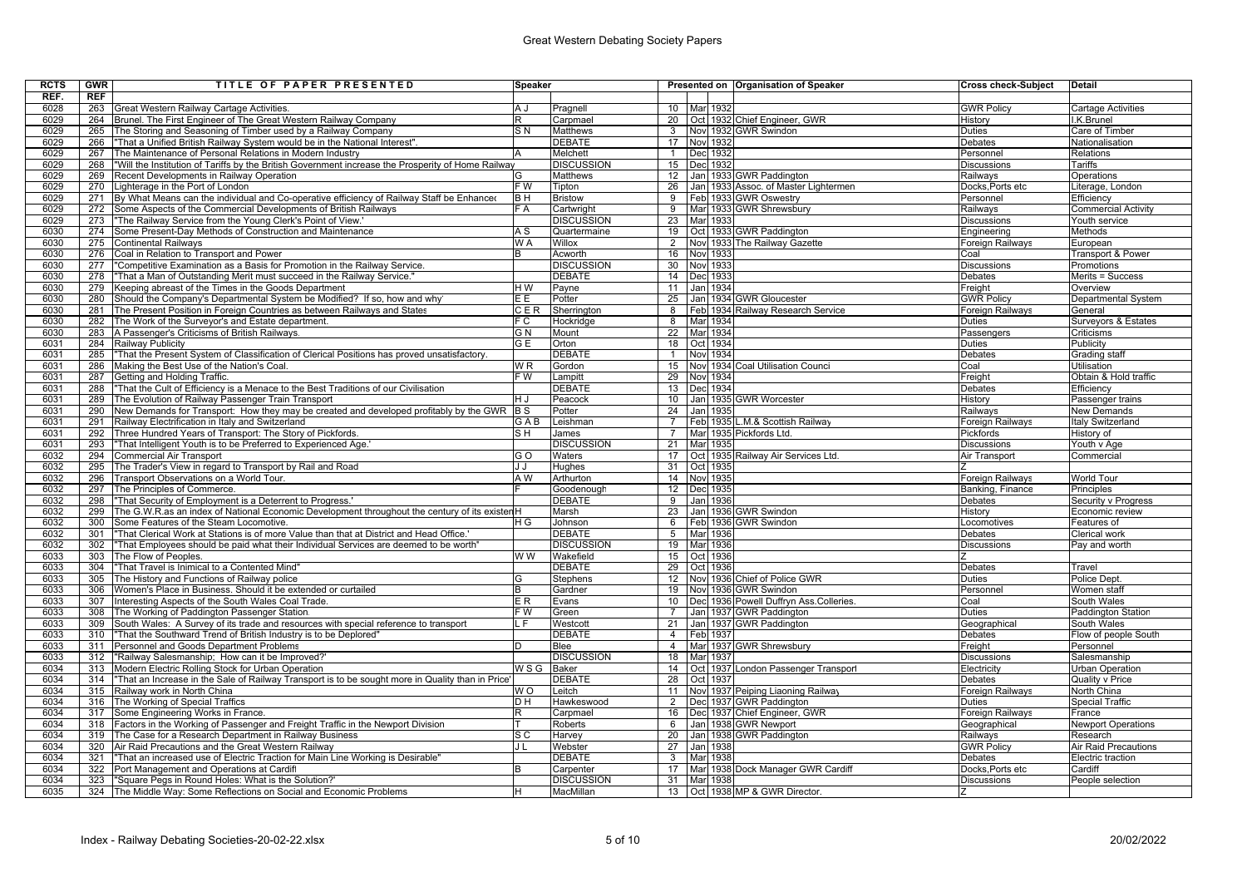| RCTS         | <b>GWR</b> | TITLE OF PAPER PRESENTED                                                                                                                               | Speaker          |                               |                 |     | Presented on Organisation of Speaker                         | Cross check-Subject              | <b>Detail</b>                             |
|--------------|------------|--------------------------------------------------------------------------------------------------------------------------------------------------------|------------------|-------------------------------|-----------------|-----|--------------------------------------------------------------|----------------------------------|-------------------------------------------|
| REF.         | REF        |                                                                                                                                                        |                  |                               |                 |     |                                                              |                                  |                                           |
| 6028         |            | 263 Great Western Railway Cartage Activities.                                                                                                          | A J              | Pragnell                      |                 |     | 10 Mar 1932                                                  | <b>GWR Policy</b>                | Cartage Activities                        |
| 6029         | 264        | Brunel. The First Engineer of The Great Western Railway Company                                                                                        |                  | Carpmael                      |                 |     | 20 Oct 1932 Chief Engineer, GWR                              | History                          | I.K.Brunel                                |
| 6029         | 265        | The Storing and Seasoning of Timber used by a Railway Company                                                                                          | S <sub>N</sub>   | Matthews                      | $\mathbf{3}$    |     | Nov 1932 GWR Swindon                                         | Duties                           | Care of Timber                            |
| 6029         | 266        | "That a Unified British Railway System would be in the National Interest".                                                                             |                  | <b>DEBATE</b>                 | 17              |     | Nov 1932                                                     | <b>Debates</b>                   | Nationalisation                           |
| 6029         | 267        | The Maintenance of Personal Relations in Modern Industry                                                                                               |                  | Melchett                      | $\mathbf{1}$    |     | Dec 1932                                                     | Personnel                        | Relations                                 |
| 6029         | 268        | "Will the Institution of Tariffs by the British Government increase the Prosperity of Home Railway                                                     |                  | <b>DISCUSSION</b>             | 15              |     | Dec 1932                                                     | Discussions                      | Tariffs                                   |
| 6029         | 269        | Recent Developments in Railway Operation                                                                                                               |                  | Matthews                      | 12              |     | Jan 1933 GWR Paddington                                      | Railways                         | Operations                                |
| 6029         | 270        | Lighterage in the Port of London                                                                                                                       | F W              | Tipton                        | 26              |     | Jan 1933 Assoc. of Master Lightermen                         | Docks.Ports etc                  | Literage, London                          |
| 6029         | 271        | By What Means can the individual and Co-operative efficiency of Railway Staff be Enhanceo                                                              | B H              | <b>Bristow</b>                | 9               |     | Feb 1933 GWR Oswestry                                        | Personnel                        | Efficiency                                |
| 6029         | 272        | Some Aspects of the Commercial Developments of British Railways                                                                                        | F A              | Cartwright                    | $\overline{9}$  |     | Mar 1933 GWR Shrewsbury                                      | Railways                         | <b>Commercial Activity</b>                |
| 6029         | 273        | "The Railway Service from the Young Clerk's Point of View.                                                                                             |                  | <b>DISCUSSION</b>             | 23              |     | Mar 1933                                                     | Discussions                      | Youth service                             |
| 6030         | 274        | Some Present-Day Methods of Construction and Maintenance                                                                                               | A S              | Quartermaine                  | 19              |     | Oct 1933 GWR Paddington                                      | Engineering                      | Methods                                   |
| 6030         | 275        | <b>Continental Railways</b>                                                                                                                            | W A              | Willox                        | $\overline{2}$  |     | Nov 1933 The Railway Gazette                                 | Foreign Railways                 | European                                  |
| 6030         | 276        | Coal in Relation to Transport and Power                                                                                                                |                  | Acworth                       | 16              |     | Nov 1933                                                     | Coal                             | <b>Transport &amp; Power</b>              |
| 6030         | 277        | "Competitive Examination as a Basis for Promotion in the Railway Service.                                                                              |                  | <b>DISCUSSION</b>             | 30              |     | Nov 1933                                                     | Discussions                      | Promotions                                |
| 6030         | 278        | "That a Man of Outstanding Merit must succeed in the Railway Service."                                                                                 |                  | <b>DEBATE</b>                 | 14              |     | Dec 1933                                                     | Debates                          | Merits = Success                          |
| 6030         | 279        | Keeping abreast of the Times in the Goods Department                                                                                                   | HW               | Payne                         | 11              |     | Jan 1934                                                     | Freight                          | Overview                                  |
| 6030         | 280        | Should the Company's Departmental System be Modified? If so, how and why                                                                               | E E              | Potter                        | 25              |     | Jan 1934 GWR Gloucester                                      | <b>GWR Policy</b>                | Departmental System                       |
| 6030         | 281        | The Present Position in Foreign Countries as between Railways and States                                                                               | CER              | Sherrington                   | 8               |     | Feb 1934 Railway Research Service                            | Foreign Railwavs                 | General                                   |
| 6030         | 282        | The Work of the Surveyor's and Estate department.                                                                                                      | F C.             | Hockridge                     | 8               |     | Mar 1934                                                     | Duties                           | <b>Surveyors &amp; Estates</b>            |
| 6030         | 283        | A Passenger's Criticisms of British Railways.                                                                                                          | G N              | Mount                         | $\overline{22}$ |     | Mar 1934                                                     | Passengers                       | Criticisms                                |
| 6031         | 284        | Railway Publicity                                                                                                                                      | G E              | Orton                         |                 |     | 18 Oct 1934                                                  | Duties                           | Publicity                                 |
| 6031         | 285        | "That the Present System of Classification of Clerical Positions has proved unsatisfactory.                                                            |                  | <b>DEBATE</b>                 | $\mathbf{1}$    |     | <b>Nov</b> 1934                                              | Debates                          | <b>Grading staff</b>                      |
| 6031         | 286        | Making the Best Use of the Nation's Coal                                                                                                               | WR               | Gordon                        | 15              |     | Nov 1934 Coal Utilisation Counci                             | Coal                             | Utilisation                               |
| 6031         | 287        | Getting and Holding Traffic.                                                                                                                           | F W              | Lampitt                       | 29              |     | Nov 1934                                                     | Freight                          | Obtain & Hold traffic                     |
| 6031         | 288        | "That the Cult of Efficiency is a Menace to the Best Traditions of our Civilisation                                                                    |                  | <b>DEBATE</b>                 | 13              |     | Dec 1934                                                     | Debates                          | Efficiency                                |
| 6031         | 289        | The Evolution of Railway Passenger Train Transport                                                                                                     | H J              | Peacock                       | 10 <sup>1</sup> |     | Jan 1935 GWR Worcester                                       | History                          | Passenger trains                          |
| 6031         | 290        | New Demands for Transport: How they may be created and developed profitably by the GWR B S                                                             |                  | Potter                        | 24              |     | Jan 1935                                                     | Railways                         | New Demands                               |
| 6031         | 291        | Railway Electrification in Italy and Switzerland                                                                                                       | GAB              | Leishman                      | $\overline{7}$  |     | Feb 1935 L.M.& Scottish Railway                              | Foreign Railways                 | <b>Italy Switzerland</b>                  |
| 6031         | 292        | Three Hundred Years of Transport: The Story of Pickfords.                                                                                              | S H              | James                         | $\overline{7}$  |     | Mar 1935 Pickfords Ltd.                                      | Pickfords                        | History of                                |
| 6031         | 293        | "That Intelligent Youth is to be Preferred to Experienced Age."                                                                                        |                  | <b>DISCUSSION</b>             | 21              |     | Mar 1935                                                     | <b>Discussions</b>               | Youth v Age                               |
| 6032         | 294        | <b>Commercial Air Transport</b>                                                                                                                        | G O              | Waters                        | 17              |     | Oct 1935 Railway Air Services Ltd                            | Air Transport                    | Commercia                                 |
| 6032         | 295        | The Trader's View in regard to Transport by Rail and Road                                                                                              | J J              | Hughes                        |                 |     | 31 Oct 1935                                                  |                                  |                                           |
| 6032         | 296        | Transport Observations on a World Tour.                                                                                                                | A W              | Arthurton                     |                 |     | 14 Nov 1935                                                  | Foreign Railways                 | <b>World Tour</b>                         |
| 6032         | 297        | The Principles of Commerce.                                                                                                                            |                  | Goodenough                    | 12              |     | Dec 1935                                                     | Banking, Finance                 | <b>Principles</b>                         |
| 6032         | 298        | "That Security of Employment is a Deterrent to Progress.                                                                                               |                  | <b>DEBATE</b>                 | 9               | Jan | 1936                                                         | Debates                          | Security v Progress                       |
| 6032         | 299        | The G.W.R.as an index of National Economic Development throughout the century of its exister H                                                         |                  | Marsh                         | 23              |     | Jan 1936 GWR Swindon                                         | History                          | Economic review                           |
| 6032         | 300        | Some Features of the Steam Locomotive.                                                                                                                 | H G              | Johnson                       | 6               |     | Feb 1936 GWR Swindon                                         | Locomotives                      | Features of                               |
| 6032         | 301        | "That Clerical Work at Stations is of more Value than that at District and Head Office."                                                               |                  | <b>DEBATE</b>                 | $5\overline{5}$ |     | Mar 1936                                                     | Debates                          | Clerical work                             |
| 6032         | 302        | "That Employees should be paid what their Individual Services are deemed to be worth'                                                                  |                  | <b>DISCUSSION</b>             |                 |     | 19 Mar 1936                                                  | Discussions                      | Pay and worth                             |
| 6033         | 303        | The Flow of Peoples.                                                                                                                                   | W W              | Wakefield                     |                 |     | 15 Oct 1936                                                  |                                  |                                           |
| 6033         | 304        | "That Travel is Inimical to a Contented Mind"                                                                                                          |                  | <b>DEBATE</b>                 | 29              |     | Oct 1936                                                     | Debates                          | Travel                                    |
| 6033         | 305        | The History and Functions of Railway police                                                                                                            |                  | <b>Stephens</b>               | 12 <sup>°</sup> |     | Nov 1936 Chief of Police GWR                                 | Duties                           | Police Dept.                              |
| 6033         | 306        | Women's Place in Business. Should it be extended or curtailed                                                                                          |                  | Gardner                       | 19              |     | Nov 1936 GWR Swindon                                         | Personnel                        | Women staf                                |
| 6033         | 307        | Interesting Aspects of the South Wales Coal Trade.                                                                                                     | ER.              | Evans                         | 10 <sup>1</sup> |     | Dec 1936 Powell Duffryn Ass.Colleries.                       | Coal                             | South Wales                               |
| 6033         | 308        | The Working of Paddington Passenger Station.                                                                                                           | $\overline{F}$ W | Green                         | $\overline{7}$  |     | Jan 1937 GWR Paddington                                      | Duties                           | <b>Paddington Station</b>                 |
| 6033         | 309        | South Wales: A Survey of its trade and resources with special reference to transport                                                                   | L F              | Westcott                      | 21              |     | Jan 1937 GWR Paddington                                      | Geographical                     | South Wales                               |
| 6033         | 310        | "That the Southward Trend of British Industry is to be Deplored"                                                                                       |                  | <b>DEBATE</b>                 | $\overline{4}$  |     | Feb 1937                                                     | Debates                          | Flow of people South                      |
| 6033         | 311        | Personnel and Goods Department Problems                                                                                                                |                  | Blee                          | $\overline{4}$  |     | Mar 1937 GWR Shrewsbury                                      | Freight                          | Personnel                                 |
| 6033         | 312        | "Railway Salesmanship; How can it be Improved?"                                                                                                        |                  | <b>DISCUSSION</b>             | 18              |     | <b>Mar</b> 1937                                              | Discussions                      | Salesmanship                              |
| 6034<br>6034 | 313<br>314 | Modern Electric Rolling Stock for Urban Operation<br>"That an Increase in the Sale of Railway Transport is to be sought more in Quality than in Price" | WSG              | <b>Baker</b><br><b>DEBATE</b> | 14<br>28        |     | Oct 1937 London Passenger Transport<br>Oct 1937              | Electricity<br>Debates           | <b>Urban Operation</b><br>Quality v Price |
|              |            |                                                                                                                                                        |                  |                               |                 |     |                                                              |                                  |                                           |
| 6034<br>6034 | 315<br>316 | Railway work in North China<br>The Working of Special Traffics                                                                                         | W O<br>D H       | Leitch                        | 11<br>2         |     | Nov 1937 Peiping Liaoning Railway<br>Dec 1937 GWR Paddington | Foreign Railways<br>Duties       | North China<br>Special Traffic            |
| 6034         | 317        | Some Engineering Works in France.                                                                                                                      |                  | Hawkeswood                    |                 |     |                                                              |                                  | France                                    |
| 6034         | 318        | Factors in the Working of Passenger and Freight Traffic in the Newport Division                                                                        |                  | Carpmael<br>Roberts           | 16<br>6         |     | Dec 1937 Chief Engineer, GWR<br>Jan 1938 GWR Newport         | Foreign Railways<br>Geographical | <b>Newport Operations</b>                 |
| 6034         | 319        | The Case for a Research Department in Railway Business                                                                                                 | S C              | Harvey                        | 20              |     | Jan 1938 GWR Paddington                                      | Railways                         | Research                                  |
| 6034         | 320        | Air Raid Precautions and the Great Western Railway                                                                                                     | JL               | Webster                       | 27              |     | Jan 1938                                                     | <b>GWR Policy</b>                | <b>Air Raid Precautions</b>               |
| 6034         | 321        | "That an increased use of Electric Traction for Main Line Working is Desirable"                                                                        |                  | <b>DEBATE</b>                 | 3               |     | Mar 1938                                                     | Debates                          | Electric traction                         |
| 6034         | 322        | Port Management and Operations at Cardifl                                                                                                              |                  | Carpenter                     | 17              |     | Mar 1938 Dock Manager GWR Cardiff                            | Docks, Ports etc                 | Cardiff                                   |
| 6034         | 323        | "Square Pegs in Round Holes: What is the Solution?"                                                                                                    |                  | <b>DISCUSSION</b>             |                 |     | 31 Mar 1938                                                  | Discussions                      | People selection                          |
| 6035         |            | 324 The Middle Way: Some Reflections on Social and Economic Problems                                                                                   | H.               | MacMillan                     |                 |     | 13 Oct 1938 MP & GWR Director.                               | Z                                |                                           |
|              |            |                                                                                                                                                        |                  |                               |                 |     |                                                              |                                  |                                           |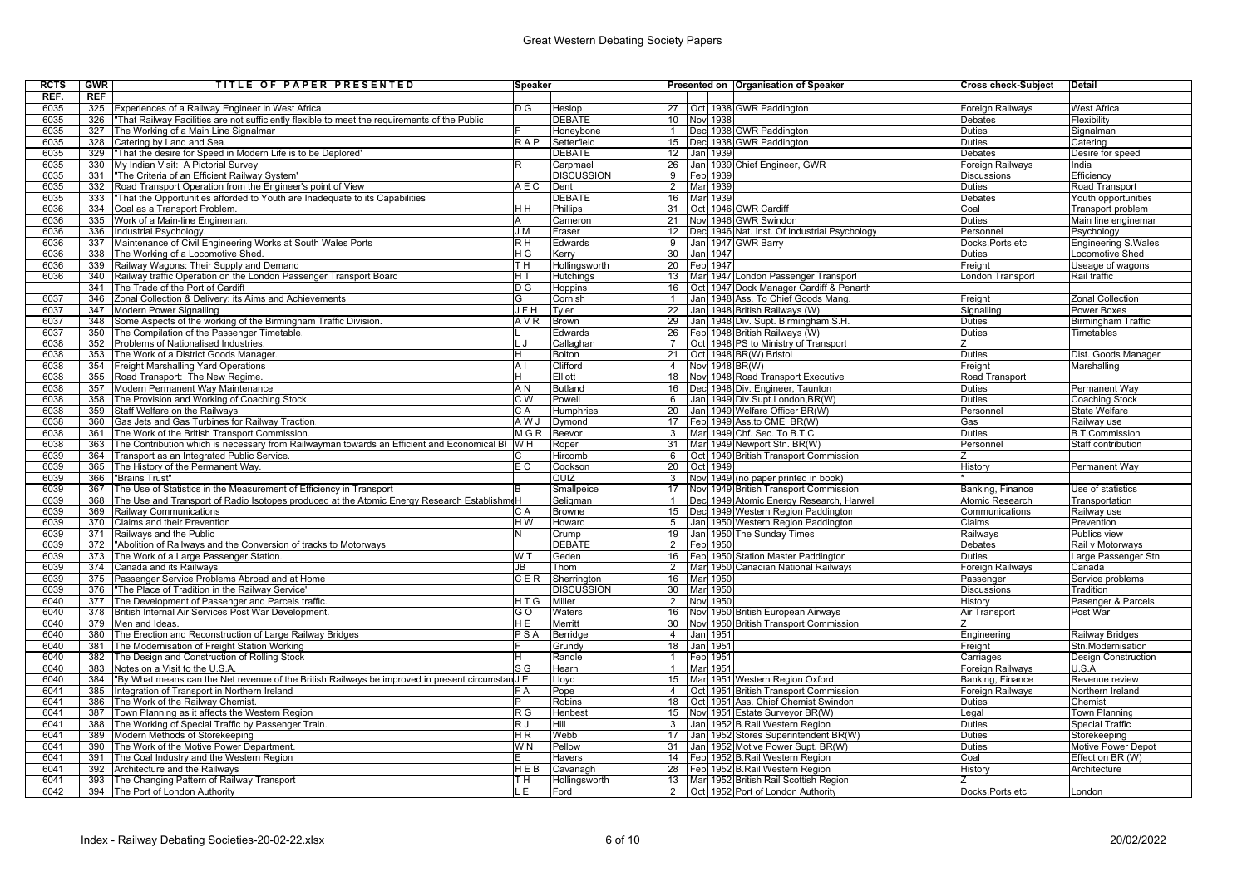| <b>RCTS</b>  | <b>GWR</b> | TITLE OF PAPER PRESENTED                                                                         | Speaker          |                       |                  |                 |          | Presented on Organisation of Speaker                                     | <b>Cross check-Subject</b> | <b>Detail</b>                          |
|--------------|------------|--------------------------------------------------------------------------------------------------|------------------|-----------------------|------------------|-----------------|----------|--------------------------------------------------------------------------|----------------------------|----------------------------------------|
| REF.         | REF        |                                                                                                  |                  |                       |                  |                 |          |                                                                          |                            |                                        |
| 6035         |            | 325 Experiences of a Railway Engineer in West Africa                                             | D G              | Heslop                |                  |                 |          | 27 Oct 1938 GWR Paddington                                               | Foreign Railwavs           | <b>West Africa</b>                     |
| 6035         | 326        | "That Railway Facilities are not sufficiently flexible to meet the requirements of the Public    |                  | <b>DEBATE</b>         | 10 <sup>1</sup>  |                 | Nov 1938 |                                                                          | Debates                    | Flexibility                            |
| 6035         |            | 327 The Working of a Main Line Signalmar                                                         |                  | Honeybone             | $\mathbf{1}$     |                 |          | Dec 1938 GWR Paddington                                                  | Duties                     | Signalman                              |
| 6035         | 328        | Catering by Land and Sea.                                                                        | RAP              | Setterfield           | 15 <sup>15</sup> |                 |          | Dec 1938 GWR Paddington                                                  | Duties                     | Catering                               |
| 6035         | 329        | "That the desire for Speed in Modern Life is to be Deplored'                                     |                  | <b>DEBATE</b>         | 12               |                 | Jan 1939 |                                                                          | Debates                    | Desire for speed                       |
| 6035         | 330        | My Indian Visit: A Pictorial Survey                                                              | R                | Carpmael              | 26               |                 |          | Jan 1939 Chief Engineer, GWR                                             | Foreign Railways           | India                                  |
| 6035         | 331        | "The Criteria of an Efficient Railway System'                                                    |                  | <b>DISCUSSION</b>     | 9                | Feb 1939        |          |                                                                          | Discussions                | Efficiency                             |
| 6035         | 332        | Road Transport Operation from the Engineer's point of View                                       | A E C            | Dent                  | $\overline{2}$   |                 | Mar 1939 |                                                                          | <b>Duties</b>              | Road Transport                         |
| 6035         | 333        | "That the Opportunities afforded to Youth are Inadequate to its Capabilities                     |                  | <b>DEBATE</b>         | 16               |                 | Mar 1939 |                                                                          | Debates                    | Youth opportunities                    |
| 6036         | 334        | Coal as a Transport Problem.                                                                     | HН               | <b>Phillips</b>       |                  |                 |          | 31 Oct 1946 GWR Cardiff                                                  | Coal                       | Transport problem                      |
| 6036         | 335        | Work of a Main-line Engineman                                                                    |                  | Cameron               | 21               |                 |          | Nov 1946 GWR Swindon                                                     | Duties                     | Main line enginemar                    |
| 6036         | 336        | Industrial Psychology                                                                            | J M              | Fraser                | 12               |                 |          | Dec 1946 Nat. Inst. Of Industrial Psychology                             | Personnel                  | Psychology                             |
| 6036         | 337        | Maintenance of Civil Engineering Works at South Wales Ports                                      | $\overline{R}$ H | Edwards               | 9                |                 |          | Jan 1947 GWR Barry                                                       | Docks, Ports etc           | <b>Engineering S.Wales</b>             |
| 6036         | 338        | The Working of a Locomotive Shed.                                                                | НG               | Kerry                 | 30               |                 | Jan 1947 |                                                                          | Duties                     | Locomotive Shed                        |
| 6036         | 339        | Railway Wagons: Their Supply and Demand                                                          | TН               | Hollingsworth         |                  | 20   Feb   1947 |          |                                                                          | Freight                    | Useage of wagons                       |
| 6036         | 340        | Railway traffic Operation on the London Passenger Transport Board                                | НT               | Hutchings             |                  |                 |          | 13 Mar 1947 London Passenger Transport                                   | London Transport           | Rail traffic                           |
|              | 341        | The Trade of the Port of Cardiff                                                                 | DG               | Hoppins               | 16               |                 |          | Oct   1947 Dock Manager Cardiff & Penarth                                |                            |                                        |
| 6037         | 346        | Zonal Collection & Delivery: its Aims and Achievements                                           |                  | Cornish               |                  |                 |          | Jan 1948 Ass. To Chief Goods Mang                                        | Freight                    | <b>Zonal Collection</b>                |
| 6037         | 347        | Modern Power Signalling                                                                          | J F H            | Tyler                 | $\overline{22}$  |                 |          | Jan 1948 British Railways (W)                                            | Signalling                 | Power Boxes                            |
| 6037         | 348        | Some Aspects of the working of the Birmingham Traffic Division.                                  | A V R            | <b>Brown</b>          | 29               |                 |          | Jan 1948 Div. Supt. Birmingham S.H.                                      | Duties                     | <b>Birmingham Traffic</b>              |
| 6037         | 350        | The Compilation of the Passenger Timetable                                                       |                  | Edwards               |                  |                 |          | 26 Feb 1948 British Railways (W)                                         | <b>Duties</b>              | Timetables                             |
| 6038         | 352        | Problems of Nationalised Industries.                                                             | L J              | Callaghan             | $\overline{7}$   |                 |          | Oct 1948 PS to Ministry of Transport                                     | 7                          |                                        |
| 6038         | 353        | The Work of a District Goods Manager.                                                            |                  | <b>Bolton</b>         | 21               |                 |          | Oct 1948 BR(W) Bristol                                                   | <b>Duties</b>              | Dist. Goods Manager                    |
| 6038         | 354        | Freight Marshalling Yard Operations                                                              | A <sub>1</sub>   | Clifford              | $\overline{4}$   |                 |          | Nov 1948 BR(W)                                                           | Freight                    | Marshalling                            |
| 6038         | 355        | Road Transport: The New Regime.                                                                  |                  | Elliott               | 18               |                 |          | Nov 1948 Road Transport Executive                                        | Road Transport             |                                        |
| 6038         | 357        | Modern Permanent Way Maintenance                                                                 | ΑN               | <b>Butland</b>        | 16               |                 |          | Dec 1948 Div. Engineer, Taunton                                          | Duties                     | Permanent Way                          |
| 6038         | 358        | The Provision and Working of Coaching Stock.                                                     | C W              | Powell                | 6                |                 |          | Jan 1949 Div.Supt.London, BR(W)                                          | Duties                     | Coaching Stock                         |
| 6038         | 359        | Staff Welfare on the Railways.                                                                   | C A              | Humphries             | 20               |                 |          | Jan 1949 Welfare Officer BR(W)                                           | Personnel                  | <b>State Welfare</b>                   |
| 6038         | 360        | Gas Jets and Gas Turbines for Railway Traction.                                                  | A W J            | Dymond                | 17               |                 |          | Feb 1949 Ass.to CME BR(W)                                                | Gas                        | Railway use                            |
| 6038         | 361        | The Work of the British Transport Commission                                                     | <b>MGR</b>       | Beevor                | 3                |                 |          | Mar 1949 Chf. Sec. To B.T.C                                              | <b>Duties</b>              | <b>B.T.Commission</b>                  |
| 6038         | 363        | The Contribution which is necessary from Railwayman towards an Efficient and Economical BI W H   |                  | Roper                 | 31               |                 |          | Mar 1949 Newport Stn. BR(W)                                              | Personnel                  | Staff contribution                     |
| 6039         | 364        | Transport as an Integrated Public Service.                                                       |                  | Hircomb               | 6                |                 |          | Oct 1949 British Transport Commission                                    |                            |                                        |
| 6039         | 365        | The History of the Permanent Way                                                                 | E C              | Cookson               | 20               |                 | Oct 1949 |                                                                          | History                    | Permanent Way                          |
| 6039         | 366        | "Brains Trust"                                                                                   |                  | QUIZ                  | 3                |                 |          | Nov 1949 (no paper printed in book)                                      |                            |                                        |
| 6039         | 367        | The Use of Statistics in the Measurement of Efficiency in Transport                              |                  | Smallpeice            | 17               |                 |          | Nov 1949 British Transport Commission                                    | Banking, Finance           | Use of statistics                      |
| 6039         | 368        | The Use and Transport of Radio Isotopes produced at the Atomic Energy Research Establishme       |                  | Seligman              | $\overline{1}$   |                 |          | Dec 1949 Atomic Energy Research, Harwell                                 | Atomic Research            | Transportation                         |
| 6039         | 369        | Railway Communications                                                                           | CА               | <b>Browne</b>         | 15               |                 |          | Dec 1949 Western Region Paddington                                       | Communications             | Railway use                            |
| 6039         | 370        | Claims and their Prevention                                                                      | HW               | Howard                | 5 <sup>5</sup>   |                 |          | Jan 1950 Western Region Paddington                                       | Claims                     | Prevention                             |
| 6039         | 371        | Railways and the Public                                                                          |                  | Crump                 | 19               |                 |          | Jan 1950 The Sunday Times                                                | Railways                   | Publics view                           |
| 6039         | 372        | "Abolition of Railways and the Conversion of tracks to Motorways                                 |                  | <b>DEBATE</b>         |                  | 2 Feb 1950      |          |                                                                          | <b>Debates</b>             | Rail v Motorways                       |
| 6039         | 373        | The Work of a Large Passenger Station.                                                           | W T              | Geden                 |                  |                 |          | 16   Feb   1950 Station Master Paddington                                | <b>Duties</b>              | Large Passenger Stn                    |
| 6039         | 374        | Canada and its Railways                                                                          | JB               | Thom                  | $\overline{2}$   |                 |          | Mar 1950 Canadian National Railways                                      | Foreign Railways           | Canada                                 |
| 6039         | 375        | Passenger Service Problems Abroad and at Home                                                    | CER              | Sherrington           |                  | 16 Mar 1950     |          |                                                                          | Passenger                  | Service problems                       |
| 6039         | 376        | "The Place of Tradition in the Railway Service"                                                  |                  | <b>DISCUSSION</b>     | 30 <sup>2</sup>  | Mar 1950        |          |                                                                          | Discussions                | Tradition                              |
| 6040         | 377        | The Development of Passenger and Parcels traffic.                                                | HTG              | Miller                | $\overline{2}$   |                 | Nov 1950 |                                                                          | History                    | Pasenger & Parcels                     |
| 6040         |            | 378 British Internal Air Services Post War Development.                                          | G O              | Waters                | 16               |                 |          | Nov 1950 British European Airways                                        | Air Transport              | Post War                               |
| 6040         | 379        | Men and Ideas.                                                                                   | НE               | Merritt               | 30 <sup>2</sup>  |                 |          | Nov 1950 British Transport Commission                                    |                            |                                        |
| 6040         | 380        | The Erection and Reconstruction of Large Railway Bridges                                         | PSA              | Berridge              | $\overline{4}$   |                 | Jan 1951 |                                                                          | Engineering                | Railway Bridges                        |
| 6040         | 381        | The Modernisation of Freight Station Working                                                     |                  | Grundy                | 18               |                 | Jan 1951 |                                                                          | Freight                    | Stn.Modernisation                      |
| 6040         | 382        | The Design and Construction of Rolling Stock                                                     |                  | Randle                | $\mathbf{1}$     |                 | Feb 1951 |                                                                          | Carriages                  | <b>Design Construction</b>             |
| 6040         | 383        | Notes on a Visit to the U.S.A.                                                                   | S G              | Hearn                 | $\overline{1}$   |                 | Mar 1951 |                                                                          | Foreign Railways           | U.S.A                                  |
| 6040         | 384        | "By What means can the Net revenue of the British Railways be improved in present circumstan J E |                  | Lloyd                 | 15               |                 |          | Mar 1951 Western Region Oxford                                           | Banking, Finance           | Revenue review                         |
| 6041         | 385        | Integration of Transport in Northern Ireland                                                     | F A              | Pope                  | $\overline{4}$   | Oct             |          | 1951 British Transport Commission                                        | Foreign Railways           | Northern Ireland                       |
| 6041         | 386        | The Work of the Railway Chemist.                                                                 |                  | Robins                | 18               |                 |          | Oct 1951 Ass. Chief Chemist Swindon                                      | <b>Duties</b>              | Chemist                                |
| 6041<br>6041 | 387        | Town Planning as it affects the Western Region                                                   | R G              | Henbest               | 15               |                 |          | Nov 1951 Estate Surveyor BR(W)                                           | Legal                      | Town Planning                          |
|              | 388        | The Working of Special Traffic by Passenger Train.                                               | R J              | <b>Hill</b>           | $\mathbf{3}$     |                 |          | Jan 1952 B.Rail Western Region                                           | <b>Duties</b>              | <b>Special Traffic</b>                 |
| 6041<br>6041 | 389<br>390 | Modern Methods of Storekeeping<br>The Work of the Motive Power Department.                       | ΗR<br>W N        | Webb<br>Pellow        | 17<br>31         |                 |          | Jan 1952 Stores Superintendent BR(W)                                     | Duties<br><b>Duties</b>    | Storekeeping                           |
| 6041         | 391        |                                                                                                  |                  |                       |                  |                 |          | Jan 1952 Motive Power Supt. BR(W)<br>14   Feb 1952 B.Rail Western Region | Coal                       | Motive Power Depot<br>Effect on BR (W) |
| 6041         | 392        | The Coal Industry and the Western Region<br>Architecture and the Railways                        | HEB              | Havers<br>Cavanagh    | 28               |                 |          | Feb 1952 B.Rail Western Region                                           | History                    | Architecture                           |
| 6041         | 393        | The Changing Pattern of Railway Transport                                                        | TН               |                       |                  |                 |          | 13 Mar 1952 British Rail Scottish Region                                 |                            |                                        |
| 6042         |            | 394 The Port of London Authority                                                                 | L E I            | Hollingsworth<br>Ford |                  |                 |          |                                                                          | Docks.Ports etc            | London                                 |
|              |            |                                                                                                  |                  |                       |                  |                 |          | 2   Oct   1952   Port of London Authority                                |                            |                                        |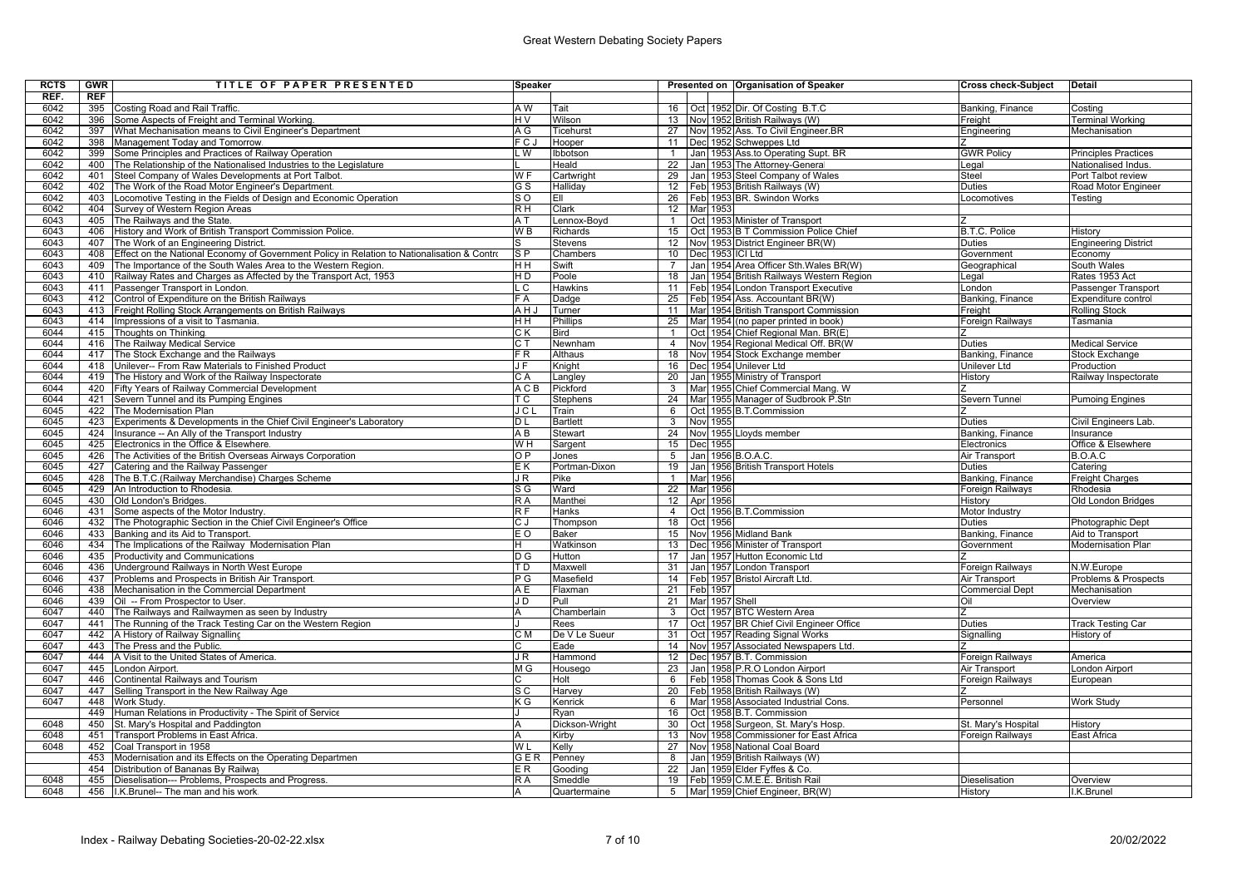| <b>RCTS</b> | GWR | TITLE OF PAPER PRESENTED                                                                    | Speaker                    |                 |                 |                  | Presented on Organisation of Speaker                | <b>Cross check-Subject</b> | <b>Detail</b>               |
|-------------|-----|---------------------------------------------------------------------------------------------|----------------------------|-----------------|-----------------|------------------|-----------------------------------------------------|----------------------------|-----------------------------|
| REF.        | REF |                                                                                             |                            |                 |                 |                  |                                                     |                            |                             |
| 6042        |     | 395 Costing Road and Rail Traffic.                                                          | A W                        | Tait            |                 |                  | 16 Oct 1952 Dir. Of Costing B.T.C                   | Banking, Finance           | Costina                     |
| 6042        | 396 | Some Aspects of Freight and Terminal Working.                                               | H V                        | Wilson          | 13              |                  | Nov 1952 British Railways (W)                       | Freight                    | <b>Terminal Working</b>     |
| 6042        | 397 | What Mechanisation means to Civil Engineer's Department                                     | A G                        | Ticehurst       | 27              |                  | Nov 1952 Ass. To Civil Engineer BR                  | Engineering                | Mechanisation               |
| 6042        |     | 398 Management Today and Tomorrow.                                                          | FCJ                        | Hooper          | 11              |                  | Dec 1952 Schweppes Ltd                              | $\overline{z}$             |                             |
| 6042        | 399 | Some Principles and Practices of Railway Operation                                          | . W                        | Ibbotson        | $\mathbf{1}$    |                  | Jan 1953 Ass.to Operating Supt. BR                  | <b>GWR Policy</b>          | <b>Principles Practices</b> |
| 6042        | 400 | The Relationship of the Nationalised Industries to the Legislature                          |                            | Heald           | $\overline{22}$ |                  | Jan 1953 The Attorney-General                       | Legal                      | Nationalised Indus.         |
| 6042        | 401 | Steel Company of Wales Developments at Port Talbot.                                         | W F                        | Cartwright      | 29              |                  | Jan 1953 Steel Company of Wales                     | Steel                      | Port Talbot review          |
| 6042        | 402 | The Work of the Road Motor Engineer's Department.                                           | G S                        | Hallidav        | $\overline{12}$ |                  | Feb 1953 British Railways (W)                       | <b>Duties</b>              | Road Motor Engineer         |
| 6042        | 403 | Locomotive Testing in the Fields of Design and Economic Operation                           | s o                        | EII             | 26              |                  | Feb 1953 BR. Swindon Works                          | Locomotives                | Testing                     |
| 6042        |     | 404 Survey of Western Region Areas                                                          | R H                        | Clark           | 12              | Mar 1953         |                                                     |                            |                             |
| 6043        | 405 | The Railways and the State.                                                                 | ΑT                         | Lennox-Boyd     | $\mathbf{1}$    |                  | Oct   1953 Minister of Transport                    |                            |                             |
| 6043        | 406 | History and Work of British Transport Commission Police.                                    | W B                        | Richards        | 15              |                  | Oct 1953 B T Commission Police Chief                | <b>B.T.C. Police</b>       | History                     |
| 6043        | 407 | The Work of an Engineering District.                                                        | s                          | <b>Stevens</b>  | 12              |                  | Nov 1953 District Engineer BR(W)                    | <b>Duties</b>              | Engineering District        |
| 6043        | 408 | Effect on the National Economy of Government Policy in Relation to Nationalisation & Contro | $S_{\mathsf{P}}$           | Chambers        | 10 <sup>1</sup> | Dec 1953 ICI Ltd |                                                     | Government                 | Economy                     |
| 6043        | 409 | The Importance of the South Wales Area to the Western Region.                               | H H                        | Swift           | $\overline{7}$  |                  | Jan 1954 Area Officer Sth. Wales BR(W)              | Geographical               | South Wales                 |
| 6043        | 410 | Railway Rates and Charges as Affected by the Transport Act, 1953                            | НD                         | Poole           | 18              |                  | <u>l Jan I 1954 British Railways Western Region</u> | Legal                      | Rates 1953 Act              |
| 6043        | 411 | Passenger Transport in London.                                                              | .<br>C                     | <b>Hawkins</b>  | 11              |                  | Feb 1954 London Transport Executive                 | London                     | Passenger Transport         |
| 6043        | 412 | Control of Expenditure on the British Railways                                              | F A                        | Dadge           | 25              |                  | Feb 1954 Ass. Accountant BR(W)                      | Banking, Finance           | Expenditure control         |
| 6043        |     | 413 Freight Rolling Stock Arrangements on British Railways                                  | AHJ                        | Turner          | 11              |                  | Mar 1954 British Transport Commission               | Freight                    | <b>Rolling Stock</b>        |
| 6043        | 414 | Impressions of a visit to Tasmania.                                                         | ΗH                         | <b>Phillips</b> | 25              |                  | Mar 1954 (no paper printed in book)                 | Foreign Railways           | Tasmania                    |
| 6044        |     | 415 Thoughts on Thinking.                                                                   | CК                         | <b>Bird</b>     | $\mathbf{1}$    |                  | Oct 1954 Chief Regional Man. BR(E)                  |                            |                             |
| 6044        |     | 416 The Railway Medical Service                                                             | $\overline{\text{c} \top}$ | Newnham         | $\overline{4}$  |                  | Nov 1954 Regional Medical Off. BR(W                 | <b>Duties</b>              | <b>Medical Service</b>      |
| 6044        | 417 | The Stock Exchange and the Railways                                                         | FR                         | <b>Althaus</b>  | 18              |                  | Nov 1954 Stock Exchange member                      | Banking, Finance           | <b>Stock Exchange</b>       |
| 6044        | 418 | Unilever-- From Raw Materials to Finished Product                                           | JF.                        | Knight          | 16              |                  | Dec 1954 Unilever Ltd                               | <b>Unilever Ltd</b>        | Production                  |
| 6044        | 419 | The History and Work of the Railway Inspectorate                                            | CA                         | Langley         | 20              |                  | Jan 1955 Ministry of Transport                      | History                    | Railway Inspectorate        |
| 6044        | 420 | Fifty Years of Railway Commercial Development                                               | A C B                      | Pickford        | $\overline{3}$  |                  | Mar 1955 Chief Commercial Mang. W                   |                            |                             |
| 6044        | 421 | Severn Tunnel and its Pumping Engines                                                       | T C                        | Stephens        | 24              |                  | Mar 1955 Manager of Sudbrook P.Stn                  | Severn Tunnel              | <b>Pumoing Engines</b>      |
| 6045        | 422 | The Modernisation Plan                                                                      | JCL                        | Train           | 6               |                  | Oct 1955 B.T.Commission                             |                            |                             |
| 6045        | 423 | Experiments & Developments in the Chief Civil Engineer's Laboratory                         | DL                         | <b>Bartlett</b> | 3               | Nov 1955         |                                                     | <b>Duties</b>              | Civil Engineers Lab.        |
| 6045        | 424 | Insurance -- An Ally of the Transport Industry                                              | ΑB                         | Stewart         | 24              |                  | Nov 1955 Lloyds member                              | Banking, Finance           | Insurance                   |
| 6045        | 425 | Electronics in the Office & Elsewhere.                                                      | W H                        | Sargent         | 15              | Dec 1955         |                                                     | Electronics                | Office & Elsewhere          |
| 6045        | 426 | The Activities of the British Overseas Airways Corporation                                  | O P                        | Jones           | 5 <sup>5</sup>  |                  | Jan 1956 B.O.A.C.                                   | Air Transport              | B.O.A.C                     |
| 6045        | 427 | Catering and the Railway Passenger                                                          | EΚ                         | Portman-Dixon   | 19              |                  | Jan 1956 British Transport Hotels                   | <b>Duties</b>              | Catering                    |
| 6045        |     | 428 The B.T.C. (Railway Merchandise) Charges Scheme                                         | J R                        | Pike            | $\mathbf{1}$    | Mar 1956         |                                                     | Banking, Finance           | <b>Freight Charges</b>      |
| 6045        |     | 429 An Introduction to Rhodesia.                                                            | S G                        | Ward            | 22              | Mar 1956         |                                                     | <b>Foreign Railways</b>    | Rhodesia                    |
| 6045        | 430 | Old London's Bridges.                                                                       | R A                        | Manthei         | 12              | Apr 1956         |                                                     | History                    | Old London Bridges          |
| 6046        |     | 431 Some aspects of the Motor Industry.                                                     | $\overline{\mathsf{RF}}$   | Hanks           | $\overline{4}$  |                  | Oct 1956 B.T.Commission                             | Motor Industry             |                             |
| 6046        | 432 | The Photographic Section in the Chief Civil Engineer's Office                               | СJ                         | Thompson        | 18              | Oct 1956         |                                                     | <b>Duties</b>              | Photographic Dept           |
| 6046        | 433 | Banking and its Aid to Transport.                                                           | E O                        | Baker           | 15              |                  | Nov 1956 Midland Bank                               | Banking, Finance           | Aid to Transport            |
| 6046        |     | 434 The Implications of the Railway Modernisation Plan                                      | н                          | Watkinson       | 13              |                  | Dec 1956 Minister of Transport                      | Government                 | <b>Modernisation Plan</b>   |
| 6046        |     | 435 Productivity and Communications                                                         | DG                         | Hutton          | 17              |                  | Jan 1957 Hutton Economic Ltd                        |                            |                             |
| 6046        | 436 | Underground Railways in North West Europe                                                   | T D                        | Maxwell         | 31              |                  | Jan 1957 London Transport                           | Foreign Railways           | N.W.Europe                  |
| 6046        | 437 | Problems and Prospects in British Air Transport.                                            | $\overline{P}$ G           | Masefield       | $\overline{14}$ |                  | Feb 1957 Bristol Aircraft Ltd.                      | <b>Air Transport</b>       | Problems & Prospects        |
| 6046        | 438 | Mechanisation in the Commercial Department                                                  | AΕ                         | Flaxman         | 21              | Feb 1957         |                                                     | <b>Commercial Dept</b>     | Mechanisation               |
| 6046        |     | 439 Oil -- From Prospector to User.                                                         | J D                        | Pull            | 21              | Mar 1957 Shell   |                                                     | Oil                        | Overview                    |
| 6047        |     | 440 The Railways and Railwaymen as seen by Industry                                         | A                          | Chamberlain     | 3 <sup>1</sup>  |                  | Oct 1957 BTC Western Area                           | $\overline{z}$             |                             |
| 6047        | 441 | The Running of the Track Testing Car on the Western Region                                  |                            | Rees            | 17              |                  | Oct   1957 BR Chief Civil Engineer Office           | <b>Duties</b>              | <b>Track Testing Car</b>    |
| 6047        | 442 | A History of Railway Signalling                                                             | C M                        | De V Le Sueur   | 31              |                  | Oct 1957 Reading Signal Works                       | Signalling                 | History of                  |
| 6047        | 443 | The Press and the Public.                                                                   | C                          | Eade            | 14              |                  | Nov 1957 Associated Newspapers Ltd.                 |                            |                             |
| 6047        | 444 | A Visit to the United States of America.                                                    | J R                        | Hammond         | 12              |                  | Dec 1957 B.T. Commission                            | Foreign Railways           | America                     |
| 6047        | 445 | London Airport.                                                                             | M G                        | Housego         | 23              |                  | Jan 1958 P.R.O London Airport                       | Air Transport              | London Airport              |
| 6047        | 446 | Continental Railways and Tourism                                                            | C.                         | Holt            | 6               |                  | Feb 1958 Thomas Cook & Sons Ltd                     | Foreign Railways           | European                    |
| 6047        | 447 | Selling Transport in the New Railway Age                                                    | s c                        | Harvey          | 20              |                  | Feb 1958 British Railways (W)                       |                            |                             |
| 6047        | 448 | Work Study.                                                                                 | K G                        | Kenrick         | 6               |                  | Mar 1958 Associated Industrial Cons.                | Personnel                  | Work Study                  |
|             |     | 449 Human Relations in Productivity - The Spirit of Service                                 |                            | Rvan            | 16              |                  | Oct 1958 B.T. Commission                            |                            |                             |
| 6048        | 450 | St. Mary's Hospital and Paddington                                                          | A                          | Dickson-Wright  | 30              |                  | Oct 1958 Surgeon, St. Mary's Hosp.                  | St. Mary's Hospital        | History                     |
| 6048        | 451 | Transport Problems in East Africa.                                                          | А                          | Kirby           | 13              |                  | Nov 1958 Commissioner for East Africa               | Foreign Railways           | East Africa                 |
| 6048        |     | 452 Coal Transport in 1958                                                                  | WL                         | Kelly           | 27              |                  | Nov 1958 National Coal Board                        |                            |                             |
|             | 453 | Modernisation and its Effects on the Operating Departmen                                    | GER                        | Penney          | 8               |                  | Jan 1959 British Railways (W)                       |                            |                             |
|             | 454 | Distribution of Bananas By Railway                                                          | ER.                        | Gooding         | 22              |                  | Jan 1959 Elder Fyffes & Co.                         |                            |                             |
| 6048        |     | 455 Dieselisation--- Problems, Prospects and Progress.                                      | R A                        | Smeddle         | 19              |                  | Feb 1959 C.M.E.E. British Rail                      | Dieselisation              | Overview                    |
| 6048        |     | 456 I.K. Brunel-- The man and his work.                                                     | A                          | Quartermaine    |                 |                  | 5 Mar 1959 Chief Engineer, BR(W)                    | History                    | I.K.Brunel                  |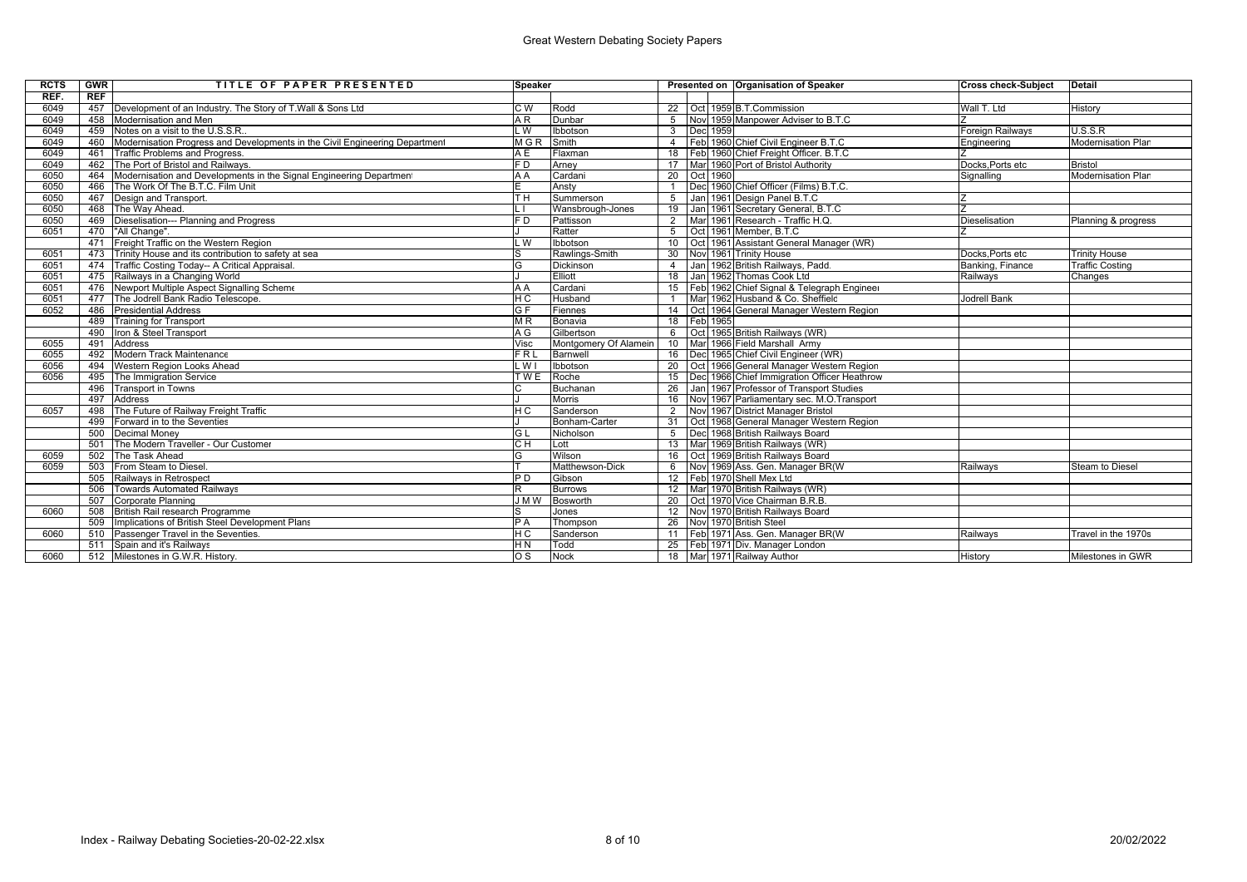## Great Western Debating Society Papers

| <b>RCTS</b> | <b>GWR</b> | TITLE OF PAPER PRESENTED                                                    | <b>Speaker</b> |                       |                 |  |             | Presented on Organisation of Speaker          | <b>Cross check-Subject</b> | <b>Detail</b>             |
|-------------|------------|-----------------------------------------------------------------------------|----------------|-----------------------|-----------------|--|-------------|-----------------------------------------------|----------------------------|---------------------------|
| REF.        | REF        |                                                                             |                |                       |                 |  |             |                                               |                            |                           |
| 6049        |            | 457 Development of an Industry. The Story of T.Wall & Sons Ltd              | C <sub>W</sub> | Rodd                  |                 |  |             | 22 Oct 1959 B.T.Commission                    | Wall T. Ltd                | History                   |
| 6049        | 458        | Modernisation and Men                                                       | A R            | Dunbar                | 5               |  |             | Nov 1959 Manpower Adviser to B.T.C            |                            |                           |
| 6049        | 459        | Notes on a visit to the U.S.S.R.                                            | . W            | Ibbotson              | $\mathbf{3}$    |  | Dec 1959    |                                               | <b>Foreign Railways</b>    | U.S.S.R                   |
| 6049        | 460        | Modernisation Progress and Developments in the Civil Engineering Department | <b>MGR</b>     | Smith                 | $\overline{4}$  |  |             | Feb 1960 Chief Civil Engineer B.T.C           | Engineering                | <b>Modernisation Plan</b> |
| 6049        | 461        | <b>Traffic Problems and Progress.</b>                                       | A E            | Flaxman               | 18              |  |             | Feb 1960 Chief Freight Officer. B.T.C         |                            |                           |
| 6049        | 462        | The Port of Bristol and Railways.                                           | FD             | Arnev                 | 17              |  |             | Marl 1960 Port of Bristol Authority           | Docks.Ports etc            | <b>Bristol</b>            |
| 6050        | 464        | Modernisation and Developments in the Signal Engineering Department         | A A            | Cardani               |                 |  | 20 Oct 1960 |                                               | Signalling                 | <b>Modernisation Plan</b> |
| 6050        | 466        | The Work Of The B.T.C. Film Unit                                            |                | Ansty                 |                 |  |             | Decl 1960 Chief Officer (Films) B.T.C.        |                            |                           |
| 6050        |            | 467 Design and Transport.                                                   | TН             | Summerson             | 5               |  |             | Jan 1961 Design Panel B.T.C                   |                            |                           |
| 6050        |            | 468 The Way Ahead.                                                          |                | Wansbrough-Jones      | 19              |  |             | Jan 1961 Secretary General, B.T.C             |                            |                           |
| 6050        |            | 469   Dieselisation--- Planning and Progress                                | F D            | Pattisson             | $\overline{2}$  |  |             | Mar 1961 Research - Traffic H.Q.              | <b>Dieselisation</b>       | Planning & progress       |
| 6051        | 470        | "All Change".                                                               |                | Ratter                | $5^{\circ}$     |  |             | Oct 1961 Member, B.T.C                        |                            |                           |
|             | 471        | Freight Traffic on the Western Region                                       | . W            | Ibbotson              | 10 <sup>°</sup> |  |             | Oct 1961 Assistant General Manager (WR)       |                            |                           |
| 6051        |            | 473 Trinity House and its contribution to safety at sea                     |                | Rawlings-Smith        | 30              |  |             | Nov 1961 Trinity House                        | Docks.Ports etc            | <b>Trinity House</b>      |
| 6051        | 474        | Traffic Costing Today-- A Critical Appraisal.                               | G              | Dickinson             | $\overline{4}$  |  |             | Jan 1962 British Railways, Padd.              | Banking, Finance           | <b>Traffic Costing</b>    |
| 6051        |            | 475 Railways in a Changing World                                            |                | Elliott               | 18              |  |             | Jan 1962 Thomas Cook Ltd                      | Railways                   | Changes                   |
| 6051        |            | 476 Newport Multiple Aspect Signalling Scheme                               | A A            | Cardani               | 15              |  |             | Feb 1962 Chief Signal & Telegraph Engineer    |                            |                           |
| 6051        |            | 477 The Jodrell Bank Radio Telescope.                                       | HС             | Husband               |                 |  |             | Marl 1962 Husband & Co. Sheffield             | <b>Jodrell Bank</b>        |                           |
| 6052        |            | 486 Presidential Address                                                    | G F            | Fiennes               | 14              |  |             | Oct 1964 General Manager Western Region       |                            |                           |
|             | 489        | Training for Transport                                                      | M R            | Bonavia               | 18              |  | Feb 1965    |                                               |                            |                           |
|             | 490        | Iron & Steel Transport                                                      | A G            | Gilbertson            | 6               |  |             | Oct 1965 British Railways (WR)                |                            |                           |
| 6055        | 491        | Address                                                                     | Visc           | Montgomery Of Alamein | 10              |  |             | Mar 1966 Field Marshall Army                  |                            |                           |
| 6055        | 492        | Modern Track Maintenance                                                    | FRL            | Barnwell              |                 |  |             | 16 <b>IDec</b> 1965 Chief Civil Engineer (WR) |                            |                           |
| 6056        | 494        | Western Region Looks Ahead                                                  | - W I          | Ibbotson              | 20              |  |             | Oct I 1966 General Manager Western Region     |                            |                           |
| 6056        | 495        | The Immigration Service                                                     | <b>TWE</b>     | Roche                 | 15              |  |             | Decl 1966 Chief Immigration Officer Heathrow  |                            |                           |
|             |            | 496 Transport in Towns                                                      |                | Buchanan              |                 |  |             | 26 Jan 1967 Professor of Transport Studies    |                            |                           |
|             | 497        | Address                                                                     |                | Morris                | 16              |  |             | Nov 1967 Parliamentary sec. M.O.Transport     |                            |                           |
| 6057        | 498        | The Future of Railway Freight Traffic                                       | HС             | Sanderson             | 2               |  |             | Nov 1967 District Manager Bristol             |                            |                           |
|             | 499        | Forward in to the Seventies                                                 |                | Bonham-Carter         | 31              |  |             | Oct 1968 General Manager Western Region       |                            |                           |
|             |            | 500 Decimal Money                                                           | GL             | Nicholson             | $5^{\circ}$     |  |             | Dec 1968 British Railways Board               |                            |                           |
|             | 501        | The Modern Traveller - Our Customer                                         | CН             | Lott                  | 13              |  |             | Mar 1969 British Railways (WR)                |                            |                           |
| 6059        |            | 502 The Task Ahead                                                          | G              | Wilson                | 16              |  |             | Oct 1969 British Railways Board               |                            |                           |
| 6059        |            | 503 From Steam to Diesel.                                                   |                | Matthewson-Dick       | 6               |  |             | Nov 1969 Ass. Gen. Manager BR(W               | Railwavs                   | <b>Steam to Diesel</b>    |
|             | 505        | Railways in Retrospect                                                      | P D            | Gibson                |                 |  |             | 12 Feb 1970 Shell Mex Ltd                     |                            |                           |
|             | 506        | Towards Automated Railways                                                  |                | <b>Burrows</b>        |                 |  |             | 12 Mar 1970 British Railways (WR)             |                            |                           |
|             | 507        | Corporate Planning                                                          | J M W          | Bosworth              | 20              |  |             | Oct 1970 Vice Chairman B.R.B.                 |                            |                           |
| 6060        |            | 508 British Rail research Programme                                         |                | Jones                 |                 |  |             | 12 Novi 1970 British Railways Board           |                            |                           |
|             | 509        | Implications of British Steel Development Plans                             | PA             | Thompson              | 26              |  |             | Novl 1970 British Steel                       |                            |                           |
| 6060        | 510        | Passenger Travel in the Seventies.                                          | HС             | Sanderson             |                 |  |             | 11   Feb   1971 Ass. Gen. Manager BR(W)       | Railwavs                   | Travel in the 1970s       |
|             | 511        | Spain and it's Railways                                                     | H <sub>N</sub> | Todd                  | 25              |  |             | Feb 1971 Div. Manager London                  |                            |                           |
| 6060        |            | 512 Milestones in G.W.R. History.                                           | os             | Nock                  |                 |  |             | 18 Mar 1971 Railway Author                    | History                    | Milestones in GWR         |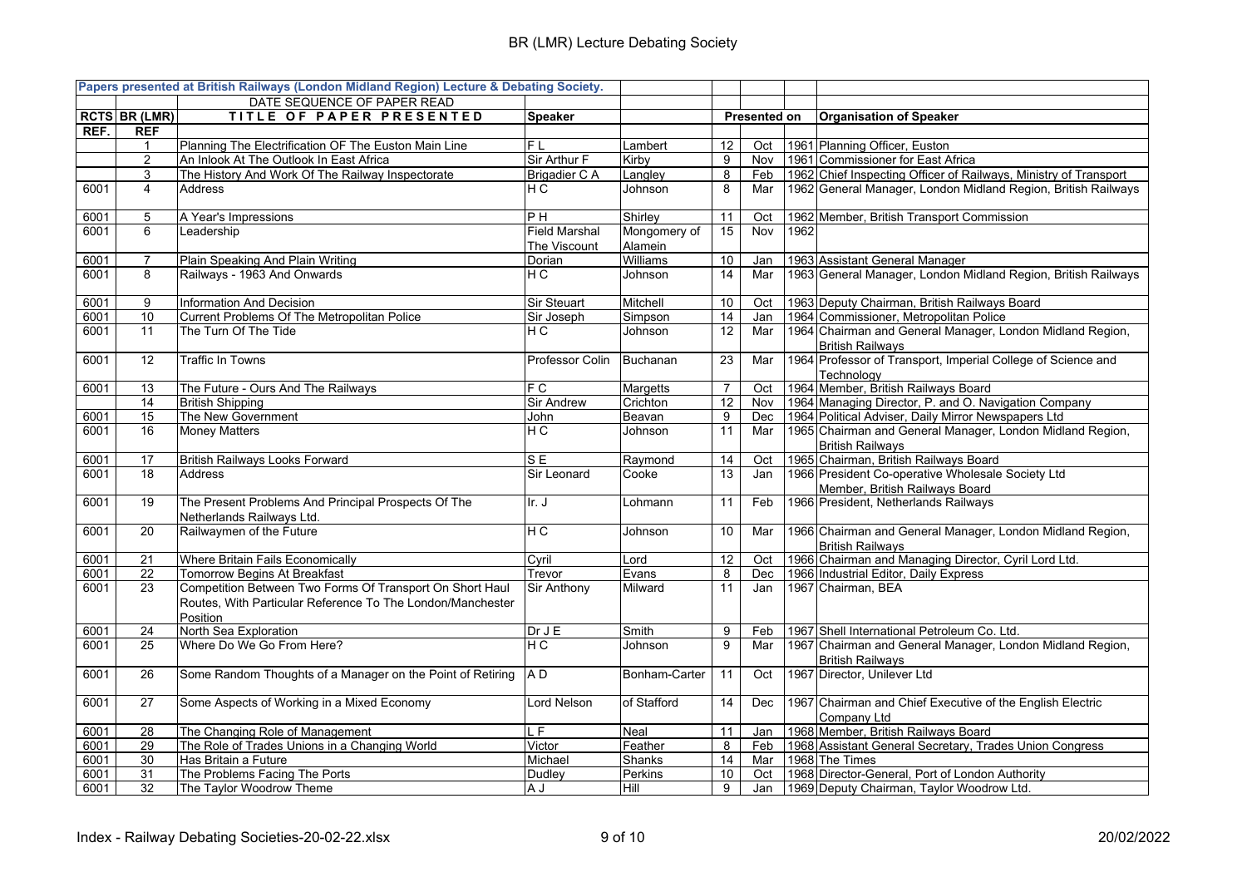## BR (LMR) Lecture Debating Society

|      |                      | Papers presented at British Railways (London Midland Region) Lecture & Debating Society.                                           |                                      |                         |                 |                     |      |                                                                                      |
|------|----------------------|------------------------------------------------------------------------------------------------------------------------------------|--------------------------------------|-------------------------|-----------------|---------------------|------|--------------------------------------------------------------------------------------|
|      |                      | DATE SEQUENCE OF PAPER READ                                                                                                        |                                      |                         |                 |                     |      |                                                                                      |
|      | <b>RCTS BR (LMR)</b> | TITLE OF PAPER PRESENTED                                                                                                           | <b>Speaker</b>                       |                         |                 | <b>Presented on</b> |      | <b>Organisation of Speaker</b>                                                       |
| REF. | <b>REF</b>           |                                                                                                                                    |                                      |                         |                 |                     |      |                                                                                      |
|      | 1                    | Planning The Electrification OF The Euston Main Line                                                                               | FL                                   | Lambert                 | 12              | Oct                 |      | 1961 Planning Officer, Euston                                                        |
|      | $\overline{c}$       | An Inlook At The Outlook In East Africa                                                                                            | Sir Arthur F                         | Kirby                   | 9               | Nov                 |      | 1961 Commissioner for East Africa                                                    |
|      | 3                    | The History And Work Of The Railway Inspectorate                                                                                   | <b>Brigadier CA</b>                  | _angley                 | $\overline{8}$  | Feb                 |      | 1962 Chief Inspecting Officer of Railways, Ministry of Transport                     |
| 6001 | 4                    | <b>Address</b>                                                                                                                     | НC                                   | Johnson                 | 8               | Mar                 |      | 1962 General Manager, London Midland Region, British Railways                        |
| 6001 | 5                    | A Year's Impressions                                                                                                               | P H                                  | Shirley                 | 11              | Oct                 |      | 1962 Member, British Transport Commission                                            |
| 6001 | 6                    | Leadership                                                                                                                         | <b>Field Marshal</b><br>The Viscount | Mongomery of<br>Alamein | $\overline{15}$ | Nov                 | 1962 |                                                                                      |
| 6001 | $\overline{7}$       | Plain Speaking And Plain Writing                                                                                                   | Dorian                               | Williams                | 10              | Jan                 |      | 1963 Assistant General Manager                                                       |
| 6001 | 8                    | Railways - 1963 And Onwards                                                                                                        | НC                                   | Johnson                 | 14              | Mar                 |      | 1963 General Manager, London Midland Region, British Railways                        |
| 6001 | 9                    | <b>Information And Decision</b>                                                                                                    | Sir Steuart                          | Mitchell                | 10              | Oct                 |      | 1963 Deputy Chairman, British Railways Board                                         |
| 6001 | 10                   | Current Problems Of The Metropolitan Police                                                                                        | Sir Joseph                           | Simpson                 | 14              | Jan                 |      | 1964 Commissioner, Metropolitan Police                                               |
| 6001 | 11                   | The Turn Of The Tide                                                                                                               | НC                                   | Johnson                 | 12              | Mar                 |      | 1964 Chairman and General Manager, London Midland Region,<br><b>British Railways</b> |
| 6001 | 12                   | Traffic In Towns                                                                                                                   | Professor Colin                      | Buchanan                | 23              | Mar                 |      | 1964 Professor of Transport, Imperial College of Science and<br>Technology           |
| 6001 | 13                   | The Future - Ours And The Railways                                                                                                 | F C                                  | Margetts                | $\overline{7}$  | Oct                 |      | 1964 Member, British Railways Board                                                  |
|      | 14                   | <b>British Shipping</b>                                                                                                            | <b>Sir Andrew</b>                    | Crichton                | 12              | Nov                 |      | 1964 Managing Director, P. and O. Navigation Company                                 |
| 6001 | 15                   | The New Government                                                                                                                 | John                                 | Beavan                  | 9               | Dec                 |      | 1964 Political Adviser, Daily Mirror Newspapers Ltd                                  |
| 6001 | 16                   | <b>Money Matters</b>                                                                                                               | НC                                   | Johnson                 | 11              | Mar                 |      | 1965 Chairman and General Manager, London Midland Region,<br><b>British Railways</b> |
| 6001 | 17                   | <b>British Railways Looks Forward</b>                                                                                              | S E                                  | Raymond                 | 14              | Oct                 |      | 1965 Chairman, British Railways Board                                                |
| 6001 | 18                   | <b>Address</b>                                                                                                                     | Sir Leonard                          | Cooke                   | 13              | Jan                 |      | 1966 President Co-operative Wholesale Society Ltd<br>Member, British Railways Board  |
| 6001 | 19                   | The Present Problems And Principal Prospects Of The<br>Netherlands Railways Ltd.                                                   | Ir. J                                | Lohmann                 | 11              | Feb                 |      | 1966 President, Netherlands Railways                                                 |
| 6001 | 20                   | Railwaymen of the Future                                                                                                           | H C                                  | Johnson                 | 10              | Mar                 |      | 1966 Chairman and General Manager, London Midland Region,<br><b>British Railwavs</b> |
| 6001 | 21                   | Where Britain Fails Economically                                                                                                   | Cyril                                | Lord                    | 12              | Oct                 |      | 1966 Chairman and Managing Director, Cyril Lord Ltd.                                 |
| 6001 | $\overline{22}$      | Tomorrow Begins At Breakfast                                                                                                       | Trevor                               | Evans                   | 8               | Dec                 |      | 1966 Industrial Editor, Daily Express                                                |
| 6001 | 23                   | Competition Between Two Forms Of Transport On Short Haul<br>Routes. With Particular Reference To The London/Manchester<br>Position | <b>Sir Anthony</b>                   | Milward                 | 11              | Jan                 |      | 1967 Chairman, BEA                                                                   |
| 6001 | 24                   | North Sea Exploration                                                                                                              | Dr J E                               | Smith                   | 9               | Feb                 |      | 1967 Shell International Petroleum Co. Ltd.                                          |
| 6001 | 25                   | Where Do We Go From Here?                                                                                                          | НC                                   | Johnson                 | 9               | Mar                 |      | 1967 Chairman and General Manager, London Midland Region,<br><b>British Railways</b> |
| 6001 | 26                   | Some Random Thoughts of a Manager on the Point of Retiring                                                                         | AD.                                  | Bonham-Carter           | 11              | Oct                 |      | 1967 Director, Unilever Ltd                                                          |
| 6001 | 27                   | Some Aspects of Working in a Mixed Economy                                                                                         | Lord Nelson                          | of Stafford             | 14              | Dec                 |      | 1967 Chairman and Chief Executive of the English Electric<br>Company Ltd             |
| 6001 | 28                   | The Changing Role of Management                                                                                                    | .F                                   | Neal                    | 11              | Jan                 |      | 1968 Member, British Railways Board                                                  |
| 6001 | 29                   | The Role of Trades Unions in a Changing World                                                                                      | Victor                               | Feather                 | 8               | Feb                 |      | 1968 Assistant General Secretary, Trades Union Congress                              |
| 6001 | 30                   | Has Britain a Future                                                                                                               | Michael                              | Shanks                  | 14              | Mar                 |      | 1968 The Times                                                                       |
| 6001 | 31                   | The Problems Facing The Ports                                                                                                      | Dudley                               | Perkins                 | 10              | Oct                 |      | 1968 Director-General, Port of London Authority                                      |
| 6001 | 32                   | The Taylor Woodrow Theme                                                                                                           | A J                                  | Hill                    | 9               | Jan                 |      | 1969 Deputy Chairman, Taylor Woodrow Ltd.                                            |